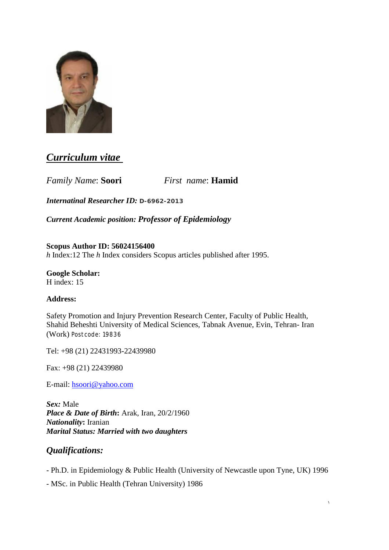

# *Curriculum vitae*

*Family Name*: **Soori** *First name*: **Hamid** 

*Internatinal Researcher ID:* **D-6962-2013**

*Current Academic position: Professor of Epidemiology*

**Scopus Author ID: 56024156400**  *h* Index:12 The *h* Index considers Scopus articles published after 1995.

**Google Scholar:**  H index: 15

### **Address:**

Safety Promotion and Injury Prevention Research Center, Faculty of Public Health, Shahid Beheshti University of Medical Sciences, Tabnak Avenue, Evin, Tehran- Iran (Work) Postcode: 19836

Tel: +98 (21) 22431993-22439980

Fax: +98 (21) 22439980

E-mail: [hsoori@yahoo.com](mailto:hsoori@yahoo.com)

*Sex:* Male *Place & Date of Birth***:** Arak, Iran, 20/2/1960 *Nationality***:** Iranian *Marital Status: Married with two daughters* 

## *Qualifications:*

- Ph.D. in Epidemiology & Public Health (University of Newcastle upon Tyne, UK) 1996
- MSc. in Public Health (Tehran University) 1986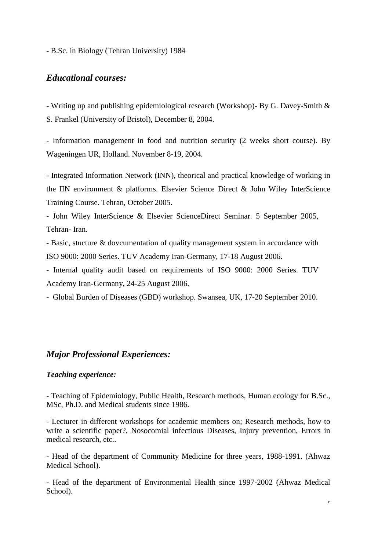- B.Sc. in Biology (Tehran University) 1984

### *Educational courses:*

- Writing up and publishing epidemiological research (Workshop)- By G. Davey-Smith & S. Frankel (University of Bristol), December 8, 2004.

- Information management in food and nutrition security (2 weeks short course). By Wageningen UR, Holland. November 8-19, 2004.

- Integrated Information Network (INN), theorical and practical knowledge of working in the IIN environment & platforms. Elsevier Science Direct & John Wiley InterScience Training Course. Tehran, October 2005.

- John Wiley InterScience & Elsevier ScienceDirect Seminar. 5 September 2005, Tehran- Iran.

- Basic, stucture & dovcumentation of quality management system in accordance with ISO 9000: 2000 Series. TUV Academy Iran-Germany, 17-18 August 2006.

- Internal quality audit based on requirements of ISO 9000: 2000 Series. TUV Academy Iran-Germany, 24-25 August 2006.

- Global Burden of Diseases (GBD) workshop. Swansea, UK, 17-20 September 2010.

### *Major Professional Experiences:*

#### *Teaching experience:*

- Teaching of Epidemiology, Public Health, Research methods, Human ecology for B.Sc., MSc, Ph.D. and Medical students since 1986.

- Lecturer in different workshops for academic members on; Research methods, how to write a scientific paper?, Nosocomial infectious Diseases, Injury prevention, Errors in medical research, etc..

- Head of the department of Community Medicine for three years, 1988-1991. (Ahwaz Medical School).

- Head of the department of Environmental Health since 1997-2002 (Ahwaz Medical School).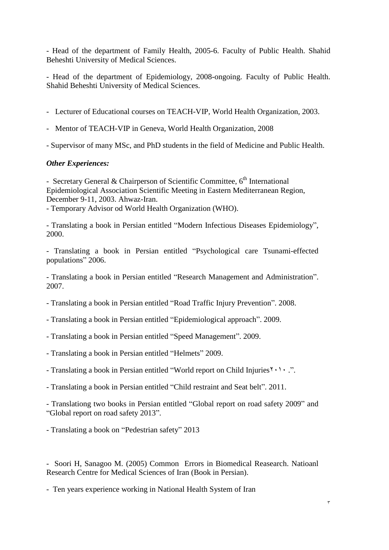- Head of the department of Family Health, 2005-6. Faculty of Public Health. Shahid Beheshti University of Medical Sciences.

- Head of the department of Epidemiology, 2008-ongoing. Faculty of Public Health. Shahid Beheshti University of Medical Sciences.

- Lecturer of Educational courses on TEACH-VIP, World Health Organization, 2003.
- Mentor of TEACH-VIP in Geneva, World Health Organization, 2008
- Supervisor of many MSc, and PhD students in the field of Medicine and Public Health.

#### *Other Experiences:*

- Secretary General & Chairperson of Scientific Committee,  $6<sup>th</sup>$  International Epidemiological Association Scientific Meeting in Eastern Mediterranean Region, December 9-11, 2003. Ahwaz-Iran.

- Temporary Advisor od World Health Organization (WHO).

- Translating a book in Persian entitled "Modern Infectious Diseases Epidemiology", 2000.

- Translating a book in Persian entitled "Psychological care Tsunami-effected populations" 2006.

- Translating a book in Persian entitled "Research Management and Administration". 2007.

- Translating a book in Persian entitled "Road Traffic Injury Prevention". 2008.
- Translating a book in Persian entitled "Epidemiological approach". 2009.
- Translating a book in Persian entitled "Speed Management". 2009.
- Translating a book in Persian entitled "Helmets" 2009.
- Translating a book in Persian entitled "World report on Child Injuries٢٠١٠ .".
- Translating a book in Persian entitled "Child restraint and Seat belt". 2011.
- Translationg two books in Persian entitled "Global report on road safety 2009" and "Global report on road safety 2013".
- Translating a book on "Pedestrian safety" 2013

- Soori H, Sanagoo M. (2005) Common Errors in Biomedical Reasearch. Natioanl Research Centre for Medical Sciences of Iran (Book in Persian).

- Ten years experience working in National Health System of Iran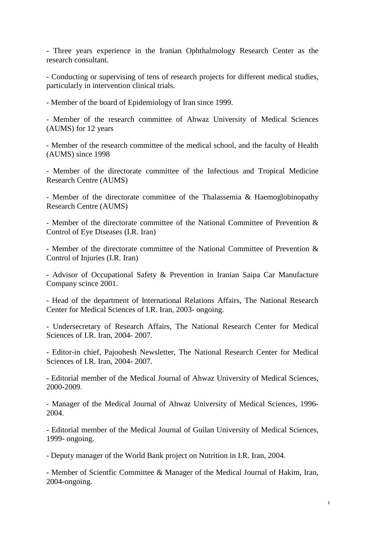- Three years experience in the Iranian Ophthalmology Research Center as the research consultant.

- Conducting or supervising of tens of research projects for different medical studies, particularly in intervention clinical trials.

- Member of the board of Epidemiology of Iran since 1999.

- Member of the research committee of Ahwaz University of Medical Sciences (AUMS) for 12 years

- Member of the research committee of the medical school, and the faculty of Health (AUMS) since 1998

- Member of the directorate committee of the Infectious and Tropical Medicine Research Centre (AUMS)

- Member of the directorate committee of the Thalassemia & Haemoglobinopathy Research Centre (AUMS)

- Member of the directorate committee of the National Committee of Prevention & Control of Eye Diseases (I.R. Iran)

- Member of the directorate committee of the National Committee of Prevention & Control of Injuries (I.R. Iran)

- Advisor of Occupational Safety & Prevention in Iranian Saipa Car Manufacture Company scince 2001.

- Head of the department of International Relations Affairs, The National Research Center for Medical Sciences of I.R. Iran, 2003- ongoing.

- Undersecretary of Research Affairs, The National Research Center for Medical Sciences of I.R. Iran, 2004- 2007.

- Editor-in chief, Pajoohesh Newsletter, The National Research Center for Medical Sciences of I.R. Iran, 2004- 2007.

- Editorial member of the Medical Journal of Ahwaz University of Medical Sciences, 2000-2009.

- Manager of the Medical Journal of Ahwaz University of Medical Sciences, 1996- 2004.

- Editorial member of the Medical Journal of Guilan University of Medical Sciences, 1999- ongoing.

- Deputy manager of the World Bank project on Nutrition in I.R. Iran, 2004.

- Member of Scientfic Committee & Manager of the Medical Journal of Hakim, Iran, 2004-ongoing.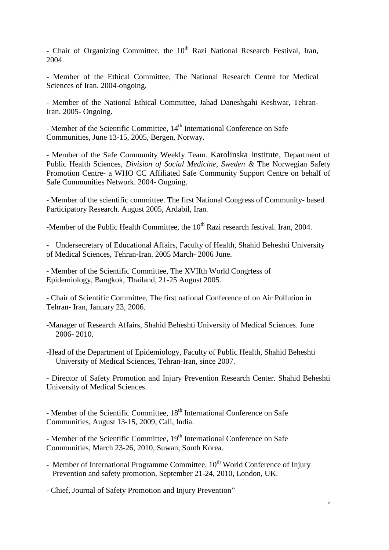- Chair of Organizing Committee, the  $10<sup>th</sup>$  Razi National Research Festival, Iran, 2004.

- Member of the Ethical Committee, The National Research Centre for Medical Sciences of Iran. 2004-ongoing.

- Member of the National Ethical Committee, Jahad Daneshgahi Keshwar, Tehran-Iran. 2005- Ongoing.

- Member of the Scientific Committee,  $14<sup>th</sup>$  International Conference on Safe Communities, June 13-15, 2005, Bergen, Norway.

- Member of the Safe Community Weekly Team. Karolinska Institute, Department of Public Health Sciences, *Division of Social Medicine, Sweden &* The Norwegian Safety Promotion Centre- a WHO CC Affiliated Safe Community Support Centre on behalf of Safe Communities Network. 2004- Ongoing.

- Member of the scientific committee. The first National Congress of Community- based Participatory Research. August 2005, Ardabil, Iran.

-Member of the Public Health Committee, the  $10^{th}$  Razi research festival. Iran, 2004.

- Undersecretary of Educational Affairs, Faculty of Health, Shahid Beheshti University of Medical Sciences, Tehran-Iran. 2005 March- 2006 June.

- Member of the Scientific Committee, The XVIIth World Congrtess of Epidemiology, Bangkok, Thailand, 21-25 August 2005.

- Chair of Scientific Committee, The first national Conference of on Air Pollution in Tehran- Iran, January 23, 2006.

-Manager of Research Affairs, Shahid Beheshti University of Medical Sciences. June 2006- 2010.

-Head of the Department of Epidemiology, Faculty of Public Health, Shahid Beheshti University of Medical Sciences, Tehran-Iran, since 2007.

- Director of Safety Promotion and Injury Prevention Research Center. Shahid Beheshti University of Medical Sciences.

- Member of the Scientific Committee,  $18<sup>th</sup>$  International Conference on Safe Communities, August 13-15, 2009, Cali, India.

- Member of the Scientific Committee, 19<sup>th</sup> International Conference on Safe Communities, March 23-26, 2010, Suwan, South Korea.

- Member of International Programme Committee,  $10^{th}$  World Conference of Injury Prevention and safety promotion, September 21-24, 2010, London, UK.

٥

- Chief, Journal of Safety Promotion and Injury Prevention"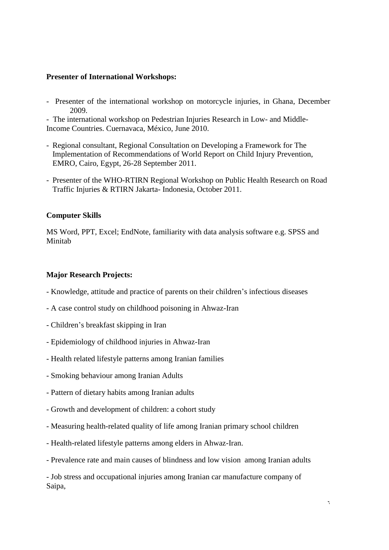#### **Presenter of International Workshops:**

Presenter of the international workshop on motorcycle injuries, in Ghana, December 2009.

- The international workshop on Pedestrian Injuries Research in Low- and Middle-Income Countries. Cuernavaca, México, June 2010.

- Regional consultant, Regional Consultation on Developing a Framework for The Implementation of Recommendations of World Report on Child Injury Prevention, EMRO, Cairo, Egypt, 26-28 September 2011.
- Presenter of the WHO-RTIRN Regional Workshop on Public Health Research on Road Traffic Injuries & RTIRN Jakarta- Indonesia, October 2011.

#### **Computer Skills**

MS Word, PPT, Excel; EndNote, familiarity with data analysis software e.g. SPSS and Minitab

#### **Major Research Projects:**

- Knowledge, attitude and practice of parents on their children's infectious diseases
- A case control study on childhood poisoning in Ahwaz-Iran
- Children's breakfast skipping in Iran
- Epidemiology of childhood injuries in Ahwaz-Iran
- Health related lifestyle patterns among Iranian families
- Smoking behaviour among Iranian Adults
- Pattern of dietary habits among Iranian adults
- Growth and development of children: a cohort study
- Measuring health-related quality of life among Iranian primary school children
- Health-related lifestyle patterns among elders in Ahwaz-Iran.
- Prevalence rate and main causes of blindness and low vision among Iranian adults

- Job stress and occupational injuries among Iranian car manufacture company of Saipa,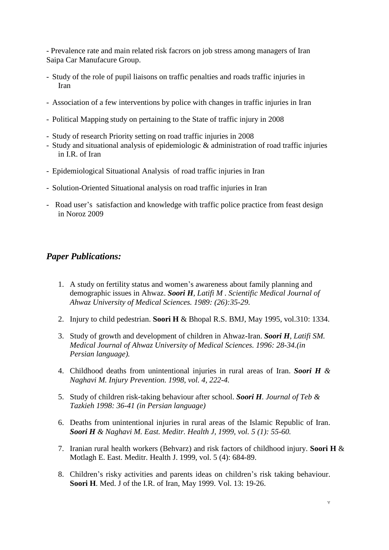- Prevalence rate and main related risk facrors on job stress among managers of Iran Saipa Car Manufacure Group.

- Study of the role of pupil liaisons on traffic penalties and roads traffic injuries in Iran
- Association of a few interventions by police with changes in traffic injuries in Iran
- Political Mapping study on pertaining to the State of traffic injury in 2008
- Study of research Priority setting on road traffic injuries in 2008
- Study and situational analysis of epidemiologic & administration of road traffic injuries in I.R. of Iran
- Epidemiological Situational Analysis of road traffic injuries in Iran
- Solution-Oriented Situational analysis on road traffic injuries in Iran
- Road user's satisfaction and knowledge with traffic police practice from feast design in Noroz 2009

# *Paper Publications:*

- 1. A study on fertility status and women's awareness about family planning and demographic issues in Ahwaz. *Soori H, Latifi M . Scientific Medical Journal of Ahwaz University of Medical Sciences. 1989: (26):35-29.*
- 2. Injury to child pedestrian. **Soori H** & Bhopal R.S. BMJ, May 1995, vol.310: 1334.
- 3. Study of growth and development of children in Ahwaz-Iran. *Soori H, Latifi SM. Medical Journal of Ahwaz University of Medical Sciences. 1996: 28-34.(in Persian language).*
- 4. Childhood deaths from unintentional injuries in rural areas of Iran. *Soori H & Naghavi M. Injury Prevention. 1998, vol. 4, 222-4.*
- 5. Study of children risk-taking behaviour after school. *Soori H. Journal of Teb & Tazkieh 1998: 36-41 (in Persian language)*
- 6. Deaths from unintentional injuries in rural areas of the Islamic Republic of Iran. *Soori H & Naghavi M. East. Meditr. Health J, 1999, vol. 5 (1): 55-60.*
- 7. Iranian rural health workers (Behvarz) and risk factors of childhood injury. **Soori H** & Motlagh E. East. Meditr. Health J. 1999, vol. 5 (4): 684-89.
- 8. Children's risky activities and parents ideas on children's risk taking behaviour. **Soori H**. Med. J of the I.R. of Iran, May 1999. Vol. 13: 19-26.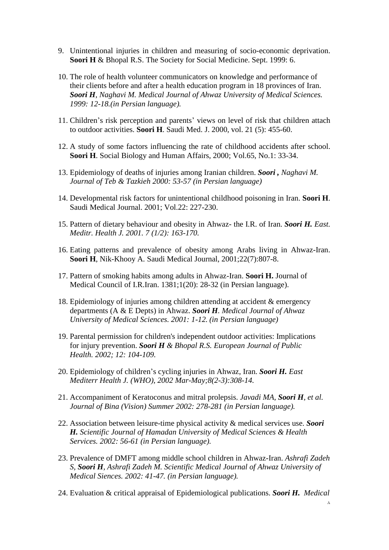- 9. Unintentional injuries in children and measuring of socio-economic deprivation. **Soori H** & Bhopal R.S. The Society for Social Medicine. Sept. 1999: 6.
- 10. The role of health volunteer communicators on knowledge and performance of their clients before and after a health education program in 18 provinces of Iran. *Soori H, Naghavi M. Medical Journal of Ahwaz University of Medical Sciences. 1999: 12-18.(in Persian language).*
- 11. Children's risk perception and parents' views on level of risk that children attach to outdoor activities. **Soori H**. Saudi Med. J. 2000, vol. 21 (5): 455-60.
- 12. A study of some factors influencing the rate of childhood accidents after school. **Soori H**. Social Biology and Human Affairs, 2000; Vol.65, No.1: 33-34.
- 13. Epidemiology of deaths of injuries among Iranian children. *Soori , Naghavi M. Journal of Teb & Tazkieh 2000: 53-57 (in Persian language)*
- 14. Developmental risk factors for unintentional childhood poisoning in Iran. **Soori H**. Saudi Medical Journal. 2001; Vol.22: 227-230.
- 15. Pattern of dietary behaviour and obesity in Ahwaz- the I.R. of Iran. *Soori H. East. Meditr. Health J. 2001. 7 (1/2): 163-170.*
- 16. Eating patterns and prevalence of obesity among Arabs living in Ahwaz-Iran. **Soori H**, Nik-Khooy A. Saudi Medical Journal, 2001;22(7):807-8.
- 17. Pattern of smoking habits among adults in Ahwaz-Iran. **Soori H.** Journal of Medical Council of I.R.Iran. 1381;1(20): 28-32 (in Persian language).
- 18. Epidemiology of injuries among children attending at accident & emergency departments (A & E Depts) in Ahwaz. *Soori H. Medical Journal of Ahwaz University of Medical Sciences. 2001: 1-12. (in Persian language)*
- 19. Parental permission for children's independent outdoor activities: Implications for injury prevention. *Soori H & Bhopal R.S. European Journal of Public Health. 2002; 12: 104-109.*
- 20. Epidemiology of children's cycling injuries in Ahwaz, Iran. *Soori H. East Mediterr Health J. (WHO), 2002 Mar-May;8(2-3):308-14.*
- 21. Accompaniment of Keratoconus and mitral prolepsis. *Javadi MA, Soori H, et al. Journal of Bina (Vision) Summer 2002: 278-281 (in Persian language).*
- 22. Association between leisure-time physical activity & medical services use. *Soori H. Scientific Journal of Hamadan University of Medical Sciences & Health Services. 2002: 56-61 (in Persian language).*
- 23. Prevalence of DMFT among middle school children in Ahwaz-Iran. *Ashrafi Zadeh S, Soori H, Ashrafi Zadeh M. Scientific Medical Journal of Ahwaz University of Medical Siences. 2002: 41-47. (in Persian language).*
- 24. Evaluation & critical appraisal of Epidemiological publications. *Soori H. Medical*

٨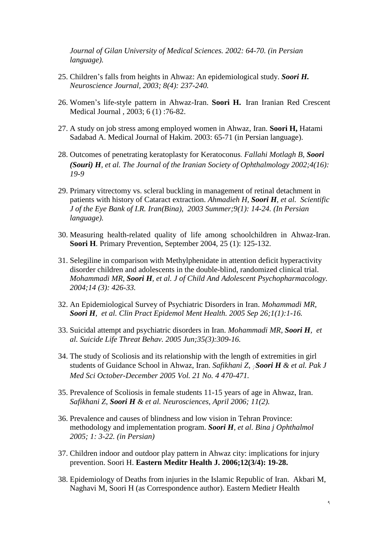*Journal of Gilan University of Medical Sciences. 2002: 64-70. (in Persian language).* 

- 25. Children's falls from heights in Ahwaz: An epidemiological study. *Soori H. Neuroscience Journal, 2003; 8(4): 237-240.*
- 26. Women's life-style pattern in Ahwaz-Iran. **Soori H.** Iran Iranian Red Crescent Medical Journal , 2003; 6 (1) :76-82.
- 27. A study on job stress among employed women in Ahwaz, Iran. **Soori H,** Hatami Sadabad A. Medical Journal of Hakim. 2003: 65-71 (in Persian language).
- 28. Outcomes of penetrating keratoplasty for Keratoconus. *Fallahi Motlagh B, Soori (Souri) H, et al. The Journal of the Iranian Society of Ophthalmology 2002;4(16): 19-9*
- 29. Primary vitrectomy vs. scleral buckling in management of retinal detachment in patients with history of Cataract extraction. *Ahmadieh H, Soori H, et al. Scientific J of the Eye Bank of I.R. Iran(Bina), 2003 Summer;9(1): 14-24. (In Persian language).*
- 30. Measuring health-related quality of life among schoolchildren in Ahwaz-Iran. **Soori H**. Primary Prevention, September 2004, 25 (1): 125-132.
- 31. Selegiline in comparison with Methylphenidate in attention deficit hyperactivity disorder children and adolescents in the double-blind, randomized clinical trial. *Mohammadi MR, Soori H, et al. J of Child And Adolescent Psychopharmacology. 2004;14 (3): 426-33.*
- 32. An Epidemiological Survey of Psychiatric Disorders in Iran. *Mohammadi MR, Soori H, et al. Clin Pract Epidemol Ment Health. 2005 Sep 26;1(1):1-16.*
- 33. Suicidal attempt and psychiatric disorders in Iran. *Mohammadi MR, Soori H, et al. Suicide Life Threat Behav. 2005 Jun;35(3):309-16.*
- 34. The study of Scoliosis and its relationship with the length of extremities in girl students of Guidance School in Ahwaz, Iran. *Safikhani Z, ◌ٍ Soori H & et al. Pak J Med Sci October-December 2005 Vol. 21 No. 4 470-471.*
- 35. Prevalence of Scoliosis in female students 11-15 years of age in Ahwaz, Iran. *Safikhani Z, Soori H & et al. Neurosciences, April 2006; 11(2).*
- 36. Prevalence and causes of blindness and low vision in Tehran Province: methodology and implementation program. *Soori H, et al. Bina j Ophthalmol 2005; 1: 3-22. (in Persian)*
- 37. Children indoor and outdoor play pattern in Ahwaz city: implications for injury prevention. Soori H. **Eastern Meditr Health J. 2006;12(3/4): 19-28.**
- 38. Epidemiology of Deaths from injuries in the Islamic Republic of Iran. Akbari M, Naghavi M, Soori H (as Correspondence author). Eastern Medietr Health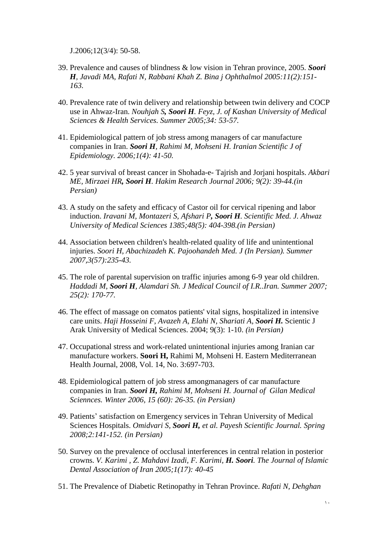J.2006;12(3/4): 50-58.

- 39. Prevalence and causes of blindness & low vision in Tehran province, 2005. *Soori H, Javadi MA, Rafati N, Rabbani Khah Z. Bina j Ophthalmol 2005:11(2):151- 163.*
- 40. Prevalence rate of twin delivery and relationship between twin delivery and COCP use in Ahwaz-Iran. *Nouhjah S, Soori H. Feyz, J. of Kashan University of Medical Sciences & Health Services. Summer 2005;34: 53-57.*
- 41. Epidemiological pattern of job stress among managers of car manufacture companies in Iran. *Soori H, Rahimi M, Mohseni H. Iranian Scientific J of Epidemiology. 2006;1(4): 41-50.*
- 42. 5 year survival of breast cancer in Shohada-e- Tajrish and Jorjani hospitals. *Akbari ME, Mirzaei HR, Soori H. Hakim Research Journal 2006; 9(2): 39-44.(in Persian)*
- 43. A study on the safety and efficacy of Castor oil for cervical ripening and labor induction. *Iravani M, Montazeri S, Afshari P, Soori H. Scientific Med. J. Ahwaz University of Medical Sciences 1385;48(5): 404-398.(in Persian)*
- 44. Association between children's health-related quality of life and unintentional injuries. *Soori H, Abachizadeh K. Pajoohandeh Med. J (In Persian). Summer 2007,3(57):235-43.*
- 45. The role of parental supervision on traffic injuries among 6-9 year old children. *Haddadi M, Soori H, Alamdari Sh. J Medical Council of I.R..Iran. Summer 2007; 25(2): 170-77.*
- 46. The effect of massage on comatos patients' vital signs, hospitalized in intensive care units. *Haji Hosseini F, Avazeh A, Elahi N, Shariati A, Soori H.* Scientic J Arak University of Medical Sciences. 2004; 9(3): 1-10. *(in Persian)*
- 47. Occupational stress and work-related unintentional injuries among Iranian car manufacture workers. **Soori H,** Rahimi M, Mohseni H. Eastern Mediterranean Health Journal, 2008, Vol. 14, No. 3:697-703.
- 48. Epidemiological pattern of job stress amongmanagers of car manufacture companies in Iran. *Soori H, Rahimi M, Mohseni H. Journal of Gilan Medical Sciennces. Winter 2006, 15 (60): 26-35. (in Persian)*
- 49. Patients' satisfaction on Emergency services in Tehran University of Medical Sciences Hospitals. *Omidvari S, Soori H, et al. Payesh Scientific Journal. Spring 2008;2:141-152. (in Persian)*
- 50. Survey on the prevalence of occlusal interferences in central relation in posterior crowns*. V. Karimi , Z. Mahdavi Izadi, F. Karimi, H. Soori. The Journal of Islamic Dental Association of Iran 2005;1(17): 40-45*
- 51. The Prevalence of Diabetic Retinopathy in Tehran Province. *Rafati N, Dehghan*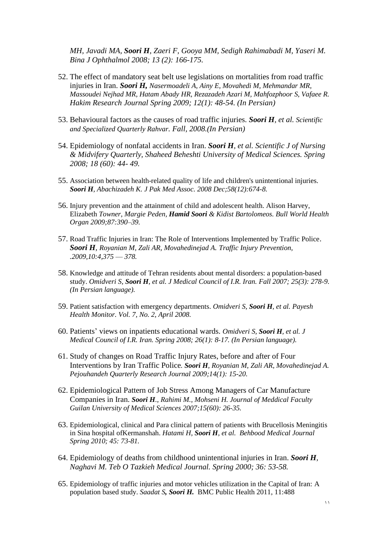*MH, Javadi MA, Soori H, Zaeri F, Gooya MM, Sedigh Rahimabadi M, Yaseri M. Bina J Ophthalmol 2008; 13 (2): 166-175.* 

- 52. The effect of mandatory seat belt use legislations on mortalities from road traffic injuries in Iran. *Soori H, Nasermoadeli A, Ainy E, Movahedi M, Mehmandar MR, Massoudei Nejhad MR, Hatam Abady HR, Rezazadeh Azari M, Mahfozphoor S, Vafaee R. Hakim Research Journal Spring 2009; 12(1): 48-54. (In Persian)*
- 53. Behavioural factors as the causes of road traffic injuries. *Soori H, et al. Scientific and Specialized Quarterly Rahvar. Fall, 2008.(In Persian)*
- 54. Epidemiology of nonfatal accidents in Iran. *Soori H, et al. Scientific J of Nursing & Midvifery Quarterly, Shaheed Beheshti University of Medical Sciences. Spring 2008; 18 (60): 44- 49.*
- 55. Association between health-related quality of life and children's unintentional injuries. *Soori H, Abachizadeh K. J Pak Med Assoc. 2008 Dec;58(12):674-8.*
- 56. Injury prevention and the attainment of child and adolescent health. Alison Harvey, Elizabeth *Towner, Margie Peden, Hamid Soori & Kidist Bartolomeos. Bull World Health Organ 2009;87:390–39.*
- 57. Road Traffic Injuries in Iran: The Role of Interventions Implemented by Traffic Police. *Soori H, Royanian M, Zali AR, Movahedinejad A. Traffic Injury Prevention, .2009,10:4,375 — 378.*
- 58. Knowledge and attitude of Tehran residents about mental disorders: a population-based study. *Omidveri S, Soori H, et al. J Medical Council of I.R. Iran. Fall 2007; 25(3): 278-9. (In Persian language).*
- 59. Patient satisfaction with emergency departments. *Omidveri S, Soori H, et al. Payesh Health Monitor. Vol. 7, No. 2, April 2008.*
- 60. Patients' views on inpatients educational wards. *Omidveri S, Soori H, et al. J Medical Council of I.R. Iran. Spring 2008; 26(1): 8-17. (In Persian language).*
- 61. Study of changes on Road Traffic Injury Rates, before and after of Four Interventions by Iran Traffic Police*. Soori H, Royanian M, Zali AR, Movahedinejad A. Pejouhandeh Quarterly Research Journal 2009;14(1): 15-20.*
- 62. Epidemiological Pattern of Job Stress Among Managers of Car Manufacture Companies in Iran. *Soori H., Rahimi M., Mohseni H. Journal of Meddical Faculty Guilan University of Medical Sciences 2007;15(60): 26-35.*
- 63. Epidemiological, clinical and Para clinical pattern of patients with Brucellosis Meningitis in Sina hospital ofKermanshah. *Hatami H, Soori H, et al. Behbood Medical Journal Spring 2010; 45: 73-81.*
- 64. Epidemiology of deaths from childhood unintentional injuries in Iran. *Soori H, Naghavi M. Teb O Tazkieh Medical Journal. Spring 2000; 36: 53-58.*
- 65. Epidemiology of traffic injuries and motor vehicles utilization in the Capital of Iran: A population based study. *Saadat S, Soori H.* BMC Public Health 2011, 11:488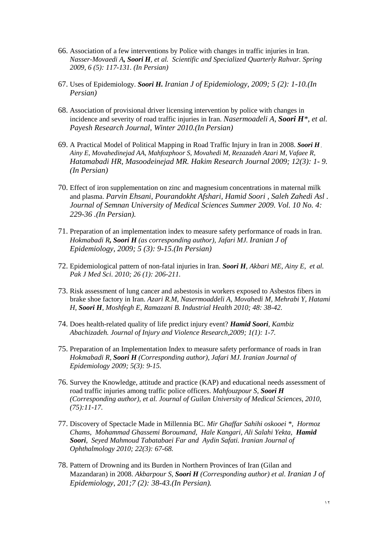- 66. Association of a few interventions by Police with changes in traffic injuries in Iran. *Nasser-Movaedi A, Soori H, et al. Scientific and Specialized Quarterly Rahvar. Spring 2009, 6 (5): 117-131. (In Persian)*
- 67. Uses of Epidemiology. *Soori H. Iranian J of Epidemiology, 2009; 5 (2): 1-10.(In Persian)*
- 68. Association of provisional driver licensing intervention by police with changes in incidence and severity of road traffic injuries in Iran. *Nasermoadeli A, Soori H\*, et al. Payesh Research Journal, Winter 2010.(In Persian)*
- 69. A Practical Model of Political Mapping in Road Traffic Injury in Iran in 2008. *Soori H , Ainy E, Movahedinejad AA, Mahfozphoor S, Movahedi M, Rezazadeh Azari M, Vafaee R, Hatamabadi HR, Masoodeinejad MR. Hakim Research Journal 2009; 12(3): 1- 9. (In Persian)*
- 70. Effect of iron supplementation on zinc and magnesium concentrations in maternal milk and plasma. *Parvin Ehsani, Pourandokht Afshari, Hamid Soori , Saleh Zahedi Asl . Journal of Semnan University of Medical Sciences Summer 2009. Vol. 10 No. 4: 229-36 .(In Persian).*
- 71. Preparation of an implementation index to measure safety performance of roads in Iran. *Hokmabadi R, Soori H (as corresponding author), Jafari MJ. Iranian J of Epidemiology, 2009; 5 (3): 9-15.(In Persian)*
- 72. Epidemiological pattern of non-fatal injuries in Iran. *Soori H, Akbari ME, Ainy E, et al. Pak J Med Sci. 2010; 26 (1): 206-211.*
- 73. Risk assessment of lung cancer and asbestosis in workers exposed to Asbestos fibers in brake shoe factory in Iran. *Azari R.M, Nasermoaddeli A, Movahedi M, Mehrabi Y, Hatami H, Soori H, Moshfegh E, Ramazani B. Industrial Health 2010; 48: 38-42.*
- 74. Does health-related quality of life predict injury event? *Hamid Soori, Kambiz Abachizadeh. Journal of Injury and Violence Research,2009; 1(1): 1-7.*
- 75. Preparation of an Implementation Index to measure safety performance of roads in Iran *Hokmabadi R, Soori H (Corresponding author), Jafari MJ. Iranian Journal of Epidemiology 2009; 5(3): 9-15.*
- 76. Survey the Knowledge, attitude and practice (KAP) and educational needs assessment of road traffic injuries among traffic police officers. *Mahfouzpour S, Soori H (Corresponding author), et al. Journal of Guilan University of Medical Sciences, 2010, (75):11-17.*
- 77. Discovery of Spectacle Made in Millennia BC. *Mir Ghaffar Sahihi oskooei \*, Hormoz Chams, Mohammad Ghassemi Boroumand, Hale Kangari, Ali Salahi Yekta, Hamid Soori, Seyed Mahmoud Tabatabaei Far and Aydin Safati. Iranian Journal of Ophthalmology 2010; 22(3): 67-68.*
- 78. Pattern of Drowning and its Burden in Northern Provinces of Iran (Gilan and Mazandaran) in 2008. *Akbarpour S, Soori H (Corresponding author) et al. Iranian J of Epidemiology, 201;7 (2): 38-43.(In Persian).*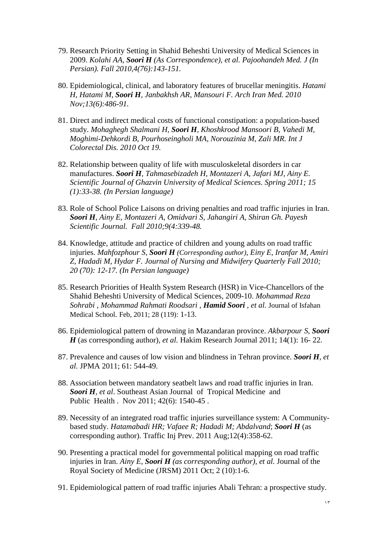- 79. Research Priority Setting in Shahid Beheshti University of Medical Sciences in 2009. *Kolahi AA, Soori H (As Correspondence), et al. Pajoohandeh Med. J (In Persian). Fall 2010,4(76):143-151.*
- 80. Epidemiological, clinical, and laboratory features of brucellar meningitis. *Hatami H, Hatami M, Soori H, Janbakhsh AR, Mansouri F. Arch Iran Med. 2010 Nov;13(6):486-91.*
- 81. Direct and indirect medical costs of functional constipation: a population-based study. *Mohaghegh Shalmani H, Soori H, Khoshkrood Mansoori B, Vahedi M, Moghimi-Dehkordi B, Pourhoseingholi MA, Norouzinia M, Zali MR. Int J Colorectal Dis. 2010 Oct 19.*
- 82. Relationship between quality of life with musculoskeletal disorders in car manufactures. *Soori H, Tahmasebizadeh H, Montazeri A, Jafari MJ, Ainy E. Scientific Journal of Ghazvin University of Medical Sciences. Spring 2011; 15 (1):33-38. (In Persian language)*
- 83. Role of School Police Laisons on driving penalties and road traffic injuries in Iran*. Soori H, Ainy E, Montazeri A, Omidvari S, Jahangiri A, Shiran Gh. Payesh Scientific Journal. Fall 2010;9(4:339-48.*
- 84. Knowledge, attitude and practice of children and young adults on road traffic injuries. *Mahfozphour S, Soori H (Corresponding author), Einy E, Iranfar M, Amiri Z, Hadadi M, Hydar F. Journal of Nursing and Midwifery Quarterly Fall 2010; 20 (70): 12-17. (In Persian language)*
- 85. Research Priorities of Health System Research (HSR) in Vice-Chancellors of the Shahid Beheshti University of Medical Sciences, 2009-10. *Mohammad Reza Sohrabi , Mohammad Rahmati Roodsari , Hamid Soori , et al.* Journal of Isfahan Medical School*.* Feb, 2011; 28 (119): 1-13.
- 86. Epidemiological pattern of drowning in Mazandaran province. *Akbarpour S, Soori H* (as corresponding author), et al. Hakim Research Journal 2011; 14(1): 16-22.
- 87. Prevalence and causes of low vision and blindness in Tehran province. *Soori H, et al.* JPMA 2011; 61: 544-49.
- 88. Association between mandatory seatbelt laws and road traffic injuries in Iran. *Soori H, et al*. Southeast Asian Journal of Tropical Medicine and Public Health . Nov 2011; 42(6): 1540-45 .
- 89. Necessity of an integrated road traffic injuries surveillance system: A Communitybased study. *Hatamabadi HR; Vafaee R; Hadadi M; Abdalvand*; *Soori H* (as corresponding author). Traffic Inj Prev. 2011 Aug;12(4):358-62.
- 90. Presenting a practical model for governmental political mapping on road traffic injuries in Iran. *Ainy E, Soori H (as corresponding author), et al.* Journal of the Royal Society of Medicine (JRSM) 2011 Oct; 2 (10):1-6.
- 91. Epidemiological pattern of road traffic injuries Abali Tehran: a prospective study.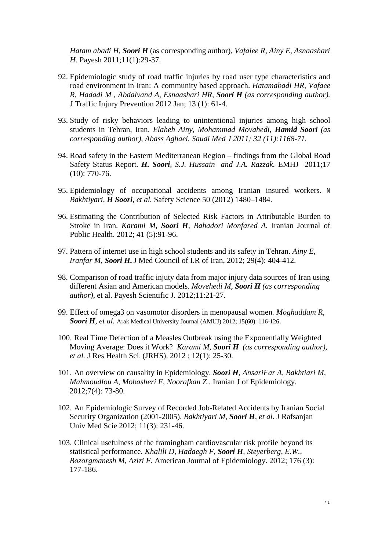*Hatam abadi H, Soori H* (as corresponding author)*, Vafaiee R, Ainy E, Asnaashari H.* Payesh 2011;11(1):29-37.

- 92. Epidemiologic study of road traffic injuries by road user type characteristics and road environment in Iran: A community based approach. *Hatamabadi HR, Vafaee R, Hadadi M , Abdalvand A, Esnaashari HR, Soori H (as corresponding author).* J Traffic Injury Prevention 2012 Jan; 13 (1): 61-4.
- 93. Study of risky behaviors leading to unintentional injuries among high school students in Tehran, Iran. *Elaheh Ainy, Mohammad Movahedi, Hamid Soori (as corresponding author), Abass Aghaei. Saudi Med J 2011; 32 (11):1168-71.*
- 94. Road safety in the Eastern Mediterranean Region findings from the Global Road Safety Status Report*. H. Soori, S.J. Hussain and J.A. Razzak.* EMHJ 2011;17 (10): 770-76.
- 95. Epidemiology of occupational accidents among Iranian insured workers. *M Bakhtiyari, H Soori, et al.* Safety Science 50 (2012) 1480–1484.
- 96. Estimating the Contribution of Selected Risk Factors in Attributable Burden to Stroke in Iran. *Karami M, Soori H, Bahadori Monfared A.* Iranian Journal of Public Health. 2012; 41 (5):91-96.
- 97. Pattern of internet use in high school students and its safety in Tehran. *Ainy E, Iranfar M, Soori H.*J Med Council of I.R of Iran, 2012; 29(4): 404-412.
- 98. Comparison of road traffic injuty data from major injury data sources of Iran using different Asian and American models. *Movehedi M, Soori H (as corresponding author)*, et al. Payesh Scientific J. 2012;11:21-27.
- 99. Effect of omega3 on vasomotor disorders in menopausal women*. Moghaddam R, Soori H, et al.* Arak Medical University Journal (AMUJ) 2012; 15(60): 116-126.
- 100. Real Time Detection of a Measles Outbreak using the Exponentially Weighted Moving Average: Does it Work? *Karami M, Soori H (as corresponding author), et al.* J Res Health Sci. (JRHS). 2012 ; 12(1): 25-30.
- 101. An overview on causality in Epidemiology. *Soori H, AnsariFar A, Bakhtiari M, Mahmoudlou A, Mobasheri F, Noorafkan Z* . Iranian J of Epidemiology. 2012;7(4): 73-80.
- 102. An Epidemiologic Survey of Recorded Job-Related Accidents by Iranian Social Security Organization (2001-2005). *Bakhtiyari M, Soori H, et al.* J Rafsanjan Univ Med Scie 2012; 11(3): 231-46.
- 103. Clinical usefulness of the framingham cardiovascular risk profile beyond its statistical performance. *Khalili D, Hadaegh F, Soori H, Steyerberg, E.W., Bozorgmanesh M, Azizi F.* American Journal of Epidemiology. 2012; 176 (3): 177-186.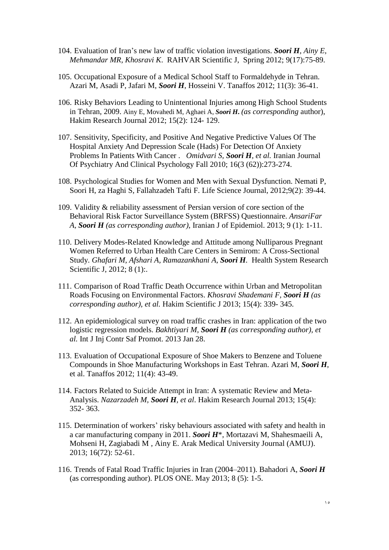- 104. Evaluation of Iran's new law of traffic violation investigations. *Soori H, Ainy E, Mehmandar MR, Khosravi K*. RAHVAR Scientific J, Spring 2012; 9(17):75-89.
- 105. Occupational Exposure of a Medical School Staff to Formaldehyde in Tehran. Azari M, Asadi P, Jafari M, *Soori H*, Hosseini V. Tanaffos 2012; 11(3): 36-41.
- 106. Risky Behaviors Leading to Unintentional Injuries among High School Students in Tehran, 2009. Ainy E, Movahedi M, Aghaei A, *Soori H***.** *(as corresponding* author), Hakim Research Journal 2012; 15(2): 124- 129.
- 107. Sensitivity, Specificity, and Positive And Negative Predictive Values Of The Hospital Anxiety And Depression Scale (Hads) For Detection Of Anxiety Problems In Patients With Cancer . *Omidvari S, Soori H, et al.* Iranian Journal Of Psychiatry And Clinical Psychology Fall 2010; 16(3 (62)):273-274.
- 108. Psychological Studies for Women and Men with Sexual Dysfunction. Nemati P, Soori H, za Haghi S, Fallahzadeh Tafti F. Life Science Journal, 2012;9(2): 39-44.
- 109. Validity & reliability assessment of Persian version of core section of the Behavioral Risk Factor Surveillance System (BRFSS) Questionnaire. *AnsariFar A, Soori H (as corresponding author)*, Iranian J of Epidemiol. 2013; 9 (1): 1-11.
- 110. Delivery Modes-Related Knowledge and Attitude among Nulliparous Pregnant Women Referred to Urban Health Care Centers in Semirom: A Cross-Sectional Study. *Ghafari M, Afshari A, Ramazankhani A, Soori H.* Health System Research Scientific J, 2012; 8 (1):.
- 111. Comparison of Road Traffic Death Occurrence within Urban and Metropolitan Roads Focusing on Environmental Factors. *Khosravi Shademani F, Soori H (as corresponding author), et al.* Hakim Scientific J 2013; 15(4): 339- 345.
- 112. An epidemiological survey on road traffic crashes in Iran: application of the two logistic regression models. *Bakhtiyari M, Soori H (as corresponding author), et al.* Int J Inj Contr Saf Promot. 2013 Jan 28.
- 113. Evaluation of Occupational Exposure of Shoe Makers to Benzene and Toluene Compounds in Shoe Manufacturing Workshops in East Tehran. Azari M, *Soori H*, et al. Tanaffos 2012; 11(4): 43-49.
- 114. Factors Related to Suicide Attempt in Iran: A systematic Review and Meta-Analysis. *Nazarzadeh M, Soori H, et al*. Hakim Research Journal 2013; 15(4): 352- 363.
- 115. Determination of workers' risky behaviours associated with safety and health in a car manufacturing company in 2011. *Soori H*\*, Mortazavi M, Shahesmaeili A, Mohseni H, Zagiabadi M , Ainy E. Arak Medical University Journal (AMUJ). 2013; 16(72): 52-61.
- 116. Trends of Fatal Road Traffic Injuries in Iran (2004–2011). Bahadori A, *Soori H* (as corresponding author). PLOS ONE. May 2013; 8 (5): 1-5.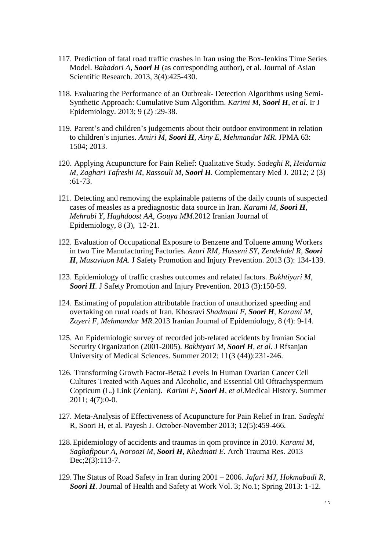- 117. Prediction of fatal road traffic crashes in Iran using the Box-Jenkins Time Series Model. *Bahadori A, Soori H* (as corresponding author), et al. Journal of Asian Scientific Research. 2013, 3(4):425-430.
- 118. Evaluating the Performance of an Outbreak- Detection Algorithms using Semi-Synthetic Approach: Cumulative Sum Algorithm. *Karimi M, Soori H, et al.* Ir J Epidemiology. 2013; 9 (2) :29-38.
- 119. Parent's and children's judgements about their outdoor environment in relation to children's injuries. *Amiri M, Soori H, Ainy E, Mehmandar MR*. JPMA 63: 1504; 2013.
- 120. Applying Acupuncture for Pain Relief: Qualitative Study. *Sadeghi R, Heidarnia M, Zaghari Tafreshi M, Rassouli M, Soori H.* Complementary Med J. 2012; 2 (3) :61-73.
- 121. Detecting and removing the explainable patterns of the daily counts of suspected cases of measles as a prediagnostic data source in Iran. *Karami M, Soori H, Mehrabi Y, Haghdoost AA, Gouya MM.*2012 Iranian Journal of Epidemiology, 8 (3), 12-21.
- 122. Evaluation of Occupational Exposure to Benzene and Toluene among Workers in two Tire Manufacturing Factories. *Azari RM, Hosseni SY, Zendehdel R, Soori H, Musaviuon MA*. J Safety Promotion and Injury Prevention. 2013 (3): 134-139.
- 123. Epidemiology of traffic crashes outcomes and related factors. *Bakhtiyari M, Soori H.* J Safety Promotion and Injury Prevention. 2013 (3):150-59.
- 124. Estimating of population attributable fraction of unauthorized speeding and overtaking on rural roads of Iran. Khosravi *Shadmani F, Soori H, Karami M, Zayeri F, Mehmandar MR.*2013 Iranian Journal of Epidemiology, 8 (4): 9-14.
- 125. An Epidemiologic survey of recorded job-related accidents by Iranian Social Security Organization (2001-2005). *Bakhtyari M, Soori H, et al.* J Rfsanjan University of Medical Sciences. Summer 2012; 11(3 (44)):231-246.
- 126. Transforming Growth Factor-Beta2 Levels In Human Ovarian Cancer Cell Cultures Treated with Aques and Alcoholic, and Essential Oil Oftrachyspermum Copticum (L.) Link (Zenian). *Karimi F, Soori H, et al.*Medical History. Summer 2011; 4(7):0-0.
- 127. Meta-Analysis of Effectiveness of Acupuncture for Pain Relief in Iran. *Sadeghi*  R, Soori H, et al. Payesh J. October-November 2013; 12(5):459-466.
- 128.Epidemiology of accidents and traumas in qom province in 2010. *Karami M, Saghafipour A, Noroozi M, Soori H, Khedmati E.* Arch Trauma Res. 2013 Dec; 2(3): 113-7.
- 129.The Status of Road Safety in Iran during 2001 2006. *Jafari MJ, Hokmabadi R, Soori H.* Journal of Health and Safety at Work Vol. 3; No.1; Spring 2013: 1-12.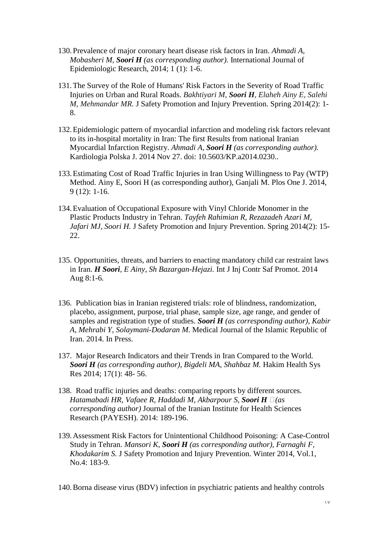- 130.Prevalence of major coronary heart disease risk factors in Iran. *Ahmadi A, Mobasheri M, Soori H (as corresponding author).* International Journal of Epidemiologic Research, 2014; 1 (1): 1-6.
- 131.The Survey of the Role of Humans' Risk Factors in the Severity of Road Traffic Injuries on Urban and Rural Roads. *Bakhtiyari M, Soori H, Elaheh Ainy E, Salehi M, Mehmandar MR.* J Safety Promotion and Injury Prevention. Spring 2014(2): 1- 8.
- 132.Epidemiologic pattern of myocardial infarction and modeling risk factors relevant to its in-hospital mortality in Iran: The first Results from national Iranian Myocardial Infarction Registry. *Ahmadi A, Soori H (as corresponding author).* Kardiologia Polska J. 2014 Nov 27. doi: 10.5603/KP.a2014.0230..
- 133.Estimating Cost of Road Traffic Injuries in Iran Using Willingness to Pay (WTP) Method. Ainy E, Soori H (as corresponding author), Ganjali M. Plos One J. 2014, 9 (12): 1-16.
- 134.Evaluation of Occupational Exposure with Vinyl Chloride Monomer in the Plastic Products Industry in Tehran. *Tayfeh Rahimian R, Rezazadeh Azari M, Jafari MJ, Soori H.* J Safety Promotion and Injury Prevention. Spring 2014(2): 15- 22.
- 135. Opportunities, threats, and barriers to enacting mandatory child car restraint laws in Iran. *H Soori, E Ainy, Sh Bazargan-Hejazi.* Int J Inj Contr Saf Promot. 2014 Aug 8:1-6.
- 136. Publication bias in Iranian registered trials: role of blindness, randomization, placebo, assignment, purpose, trial phase, sample size, age range, and gender of samples and registration type of studies. *Soori H (as corresponding author), Kabir A, Mehrabi Y, Solaymani-Dodaran M*. Medical Journal of the Islamic Republic of Iran. 2014. In Press.
- 137. Major Research Indicators and their Trends in Iran Compared to the World. *Soori H (as corresponding author), Bigdeli MA, Shahbaz M.* Hakim Health Sys Res 2014; 17(1): 48- 56.
- 138. Road traffic injuries and deaths: comparing reports by different sources. *Hatamabadi HR, Vafaee R, Haddadi M, Akbarpour S, Soori H (as corresponding author)* Journal of the Iranian Institute for Health Sciences Research (PAYESH). 2014: 189-196.
- 139.Assessment Risk Factors for Unintentional Childhood Poisoning: A Case-Control Study in Tehran. *Mansori K, Soori H (as corresponding author), Farnaghi F, Khodakarim S.* J Safety Promotion and Injury Prevention. Winter 2014, Vol.1, No.4: 183-9.
- 140.Borna disease virus (BDV) infection in psychiatric patients and healthy controls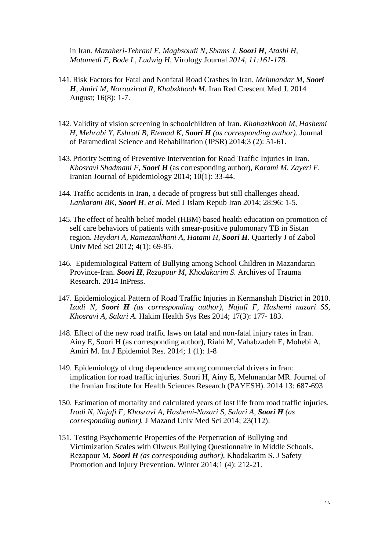in Iran. *Mazaheri-Tehrani E, Maghsoudi N, Shams J, Soori H, Atashi H, Motamedi F, Bode L, Ludwig H.* Virology Journal *2014, 11:161-178.* 

- 141.Risk Factors for Fatal and Nonfatal Road Crashes in Iran. *Mehmandar M, Soori H, Amiri M, Norouzirad R, Khabzkhoob M*. Iran Red Crescent Med J. 2014 August; 16(8): 1-7.
- 142.Validity of vision screening in schoolchildren of Iran. *Khabazhkoob M, Hashemi H, Mehrabi Y, Eshrati B, Etemad K, Soori H (as corresponding author).* Journal of Paramedical Science and Rehabilitation (JPSR) 2014;3 (2): 51-61.
- 143. Priority Setting of Preventive Intervention for Road Traffic Injuries in Iran. *Khosravi Shadmani F, Soori H* (as corresponding author), *Karami M, Zayeri F.*  Iranian Journal of Epidemiology 2014; 10(1): 33-44.
- 144.Traffic accidents in Iran, a decade of progress but still challenges ahead. *Lankarani BK, Soori H, et al.* Med J Islam Repub Iran 2014; 28:96: 1-5.
- 145.The effect of health belief model (HBM) based health education on promotion of self care behaviors of patients with smear-positive pulomonary TB in Sistan region. *Heydari A, Ramezankhani A, Hatami H, Soori H.* Quarterly J of Zabol Univ Med Sci 2012; 4(1): 69-85.
- 146. Epidemiological Pattern of Bullying among School Children in Mazandaran Province-Iran. *Soori H*, *Rezapour M, Khodakarim S*. Archives of Trauma Research. 2014 InPress.
- 147. Epidemiological Pattern of Road Traffic Injuries in Kermanshah District in 2010. *Izadi N, Soori H (as corresponding author), Najafi F, Hashemi nazari SS, Khosravi A, Salari A.* Hakim Health Sys Res 2014; 17(3): 177- 183.
- 148. Effect of the new road traffic laws on fatal and non-fatal injury rates in Iran. Ainy E, Soori H (as corresponding author), Riahi M, Vahabzadeh E, Mohebi A, Amiri M. Int J Epidemiol Res. 2014; 1 (1): 1-8
- 149. Epidemiology of drug dependence among commercial drivers in Iran: implication for road traffic injuries. Soori H, Ainy E, Mehmandar MR. Journal of the Iranian Institute for Health Sciences Research (PAYESH). 2014 13: 687-693
- 150. Estimation of mortality and calculated years of lost life from road traffic injuries. *Izadi N, Najafi F, Khosravi A, Hashemi-Nazari S, Salari A, Soori H (as corresponding author).* J Mazand Univ Med Sci 2014; 23(112):
- 151. Testing Psychometric Properties of the Perpetration of Bullying and Victimization Scales with Olweus Bullying Questionnaire in Middle Schools. Rezapour M, *Soori H (as corresponding author)*, Khodakarim S. J Safety Promotion and Injury Prevention. Winter 2014;1 (4): 212-21.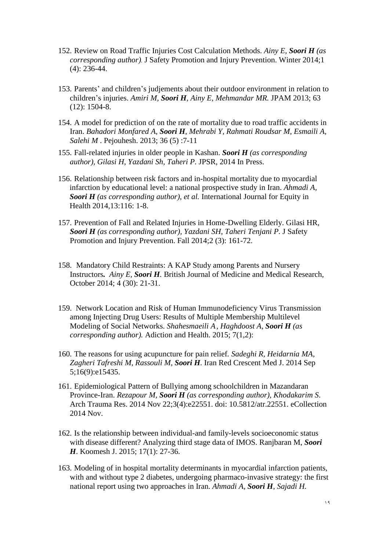- 152. Review on Road Traffic Injuries Cost Calculation Methods. *Ainy E, Soori H (as corresponding author).* J Safety Promotion and Injury Prevention. Winter 2014;1 (4): 236-44.
- 153. Parents' and children's judjements about their outdoor environment in relation to children's injuries. *Amiri M, Soori H, Ainy E, Mehmandar MR.* JPAM 2013; 63 (12): 1504-8.
- 154. A model for prediction of on the rate of mortality due to road traffic accidents in Iran. *Bahadori Monfared A, Soori H, Mehrabi Y, Rahmati Roudsar M, Esmaili A, Salehi M* . Pejouhesh. 2013; 36 (5) :7-11
- 155. Fall-related injuries in older people in Kashan. *Soori H (as corresponding author), Gilasi H, Yazdani Sh, Taheri P.* JPSR, 2014 In Press.
- 156. Relationship between risk factors and in-hospital mortality due to myocardial infarction by educational level: a national prospective study in Iran. *Ahmadi A, Soori H (as corresponding author), et al.* International Journal for Equity in Health 2014,13:116: 1-8.
- 157. Prevention of Fall and Related Injuries in Home-Dwelling Elderly. Gilasi HR, *Soori H (as corresponding author), Yazdani SH, Taheri Tenjani P.* J Safety Promotion and Injury Prevention. Fall 2014;2 (3): 161-72.
- 158. Mandatory Child Restraints: A KAP Study among Parents and Nursery Instructors*. Ainy E, Soori H.* British Journal of Medicine and Medical Research, October 2014; 4 (30): 21-31.
- 159. Network Location and Risk of Human Immunodeficiency Virus Transmission among Injecting Drug Users: Results of Multiple Membership Multilevel Modeling of Social Networks. *Shahesmaeili A, Haghdoost A, Soori H (as corresponding author).* Adiction and Health. 2015; 7(1,2):
- 160. The reasons for using acupuncture for pain relief*. Sadeghi R, Heidarnia MA, Zagheri Tafreshi M, Rassouli M, Soori H.* Iran Red Crescent Med J. 2014 Sep 5;16(9):e15435.
- 161. Epidemiological Pattern of Bullying among schoolchildren in Mazandaran Province-Iran. *Rezapour M, Soori H (as corresponding author), Khodakarim S*. Arch Trauma Res. 2014 Nov 22;3(4):e22551. doi: 10.5812/atr.22551. eCollection 2014 Nov.
- 162. Is the relationship between individual-and family-levels socioeconomic status with disease different? Analyzing third stage data of IMOS. Ranjbaran M, *Soori H*. Koomesh J. 2015; 17(1): 27-36.
- 163. Modeling of in hospital mortality determinants in myocardial infarction patients, with and without type 2 diabetes, undergoing pharmaco-invasive strategy: the first national report using two approaches in Iran. *Ahmadi A, Soori H, Sajadi H.*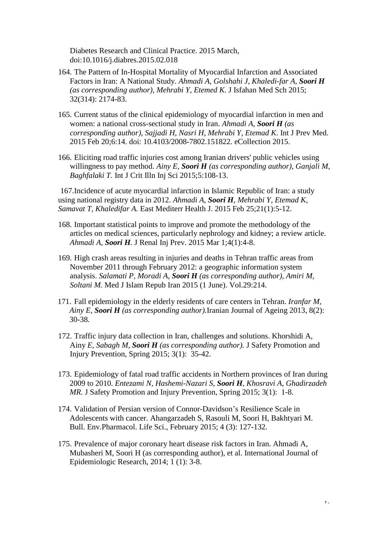Diabetes Research and Clinical Practice. 2015 March, doi:10.1016/j.diabres.2015.02.018

- 164. The Pattern of In-Hospital Mortality of Myocardial Infarction and Associated Factors in Iran: A National Study. *Ahmadi A, Golshahi J, Khaledi-far A, Soori H (as corresponding author), Mehrabi Y, Etemed K.* J Isfahan Med Sch 2015; 32(314): 2174-83.
- 165. Current status of the clinical epidemiology of myocardial infarction in men and women: a national cross-sectional study in Iran. *Ahmadi A, Soori H (as corresponding author), Sajjadi H, Nasri H, Mehrabi Y, Etemad K*. Int J Prev Med. 2015 Feb 20;6:14. doi: 10.4103/2008-7802.151822. eCollection 2015.
- 166. Eliciting road traffic injuries cost among Iranian drivers' public vehicles using willingness to pay method. *Ainy E, Soori H (as corresponding author), Ganjali M, Baghfalaki T.* Int J Crit Illn Inj Sci 2015;5:108-13.

167.Incidence of acute myocardial infarction in Islamic Republic of Iran: a study using national registry data in 2012. *Ahmadi A, Soori H, Mehrabi Y, Etemad K, Samavat T, Khaledifar A.* East Mediterr Health J. 2015 Feb 25;21(1):5-12.

- 168. Important statistical points to improve and promote the methodology of the articles on medical sciences, particularly nephrology and kidney; a review article. *Ahmadi A, Soori H.* J Renal Inj Prev. 2015 Mar 1;4(1):4-8.
- 169. High crash areas resulting in injuries and deaths in Tehran traffic areas from November 2011 through February 2012: a geographic information system analysis. *Salamati P, Moradi A, Soori H (as corresponding author), Amiri M, Soltani M.* Med J Islam Repub Iran 2015 (1 June). Vol.29:214.
- 171. Fall epidemiology in the elderly residents of care centers in Tehran. *Iranfar M, Ainy E, Soori H (as corresponding author).*Iranian Journal of Ageing 2013, 8(2): 30-38.
- 172. Traffic injury data collection in Iran, challenges and solutions. Khorshidi A, Ainy *E, Sabagh M, Soori H (as corresponding author).* J Safety Promotion and Injury Prevention, Spring 2015; 3(1): 35-42.
- 173. Epidemiology of fatal road traffic accidents in Northern provinces of Iran during 2009 to 2010. *Entezami N, Hashemi-Nazari S, Soori H, Khosravi A, Ghadirzadeh MR.* J Safety Promotion and Injury Prevention, Spring 2015; 3(1): 1-8.
- 174. Validation of Persian version of Connor-Davidson's Resilience Scale in Adolescents with cancer. Ahangarzadeh S, Rasouli M, Soori H, Bakhtyari M. Bull. Env.Pharmacol. Life Sci., February 2015; 4 (3): 127-132.
- 175. Prevalence of major coronary heart disease risk factors in Iran. Ahmadi A, Mubasheri M, Soori H (as corresponding author), et al. International Journal of Epidemiologic Research, 2014; 1 (1): 3-8.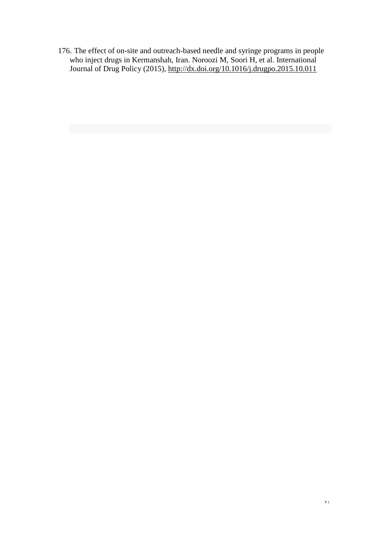176. The effect of on-site and outreach-based needle and syringe programs in people who inject drugs in Kermanshah, Iran. Noroozi M, Soori H, et al. International Journal of Drug Policy (2015),<http://dx.doi.org/10.1016/j.drugpo.2015.10.011>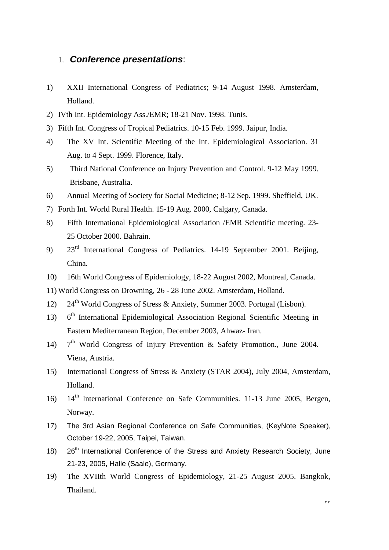### 1. *Conference presentations*:

- 1) XXII International Congress of Pediatrics; 9-14 August 1998. Amsterdam, Holland.
- 2) IVth Int. Epidemiology Ass./EMR; 18-21 Nov. 1998. Tunis.
- 3) Fifth Int. Congress of Tropical Pediatrics. 10-15 Feb. 1999. Jaipur, India.
- 4) The XV Int. Scientific Meeting of the Int. Epidemiological Association. 31 Aug. to 4 Sept. 1999. Florence, Italy.
- 5) Third National Conference on Injury Prevention and Control. 9-12 May 1999. Brisbane, Australia.
- 6) Annual Meeting of Society for Social Medicine; 8-12 Sep. 1999. Sheffield, UK.
- 7) Forth Int. World Rural Health. 15-19 Aug. 2000, Calgary, Canada.
- 8) Fifth International Epidemiological Association /EMR Scientific meeting. 23- 25 October 2000. Bahrain.
- 9) 23rd International Congress of Pediatrics. 14-19 September 2001. Beijing, China.
- 10) 16th World Congress of Epidemiology, 18-22 August 2002, Montreal, Canada.
- 11) World Congress on Drowning, 26 28 June 2002. Amsterdam, Holland.
- 12) 24<sup>th</sup> World Congress of Stress & Anxiety, Summer 2003. Portugal (Lisbon).
- $13)$  $6<sup>th</sup>$  International Epidemiological Association Regional Scientific Meeting in Eastern Mediterranean Region, December 2003, Ahwaz- Iran.
- $14)$  $7<sup>th</sup>$  World Congress of Injury Prevention & Safety Promotion., June 2004. Viena, Austria.
- 15) International Congress of Stress & Anxiety (STAR 2004), July 2004, Amsterdam, Holland.
- 16) 14<sup>th</sup> International Conference on Safe Communities. 11-13 June 2005, Bergen, Norway.
- 17) The 3rd Asian Regional Conference on Safe Communities, (KeyNote Speaker), October 19-22, 2005, Taipei, Taiwan.
- $18$ )  $26<sup>th</sup>$  International Conference of the Stress and Anxiety Research Society, June 21-23, 2005, Halle (Saale), Germany.
- 19) The XVIIth World Congress of Epidemiology, 21-25 August 2005. Bangkok, Thailand.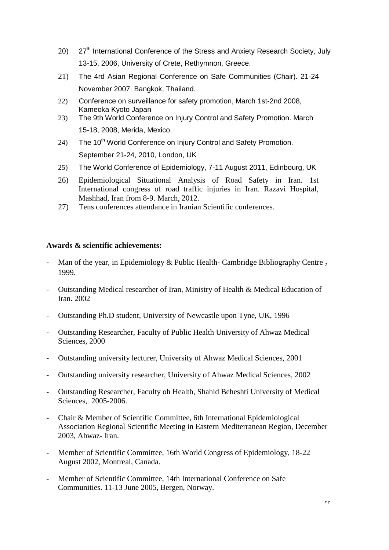- $20$ )  $27<sup>th</sup>$  International Conference of the Stress and Anxiety Research Society, July 13-15, 2006, University of Crete, Rethymnon, Greece.
- 21) The 4rd Asian Regional Conference on Safe Communities (Chair). 21-24 November 2007. Bangkok, Thailand.
- 22) Conference on surveillance for safety promotion, March 1st-2nd 2008, Kameoka Kyoto Japan
- 23) The 9th World Conference on Injury Control and Safety Promotion. March 15-18, 2008, Merida, Mexico.
- 24) The 10<sup>th</sup> World Conference on Injury Control and Safety Promotion. September 21-24, 2010, London, UK
- 25) The World Conference of Epidemiology, 7-11 August 2011, Edinbourg, UK
- 26) Epidemiological Situational Analysis of Road Safety in Iran. 1st International congress of road traffic injuries in Iran. Razavi Hospital, Mashhad, Iran from 8-9. March, 2012.
- 27) Tens conferences attendance in Iranian Scientific conferences.

#### **Awards & scientific achievements:**

- Man of the year, in Epidemiology & Public Health- Cambridge Bibliography Centre, 1999.
- Outstanding Medical researcher of Iran, Ministry of Health & Medical Education of Iran. 2002
- Outstanding Ph.D student, University of Newcastle upon Tyne, UK, 1996
- Outstanding Researcher, Faculty of Public Health University of Ahwaz Medical Sciences, 2000
- Outstanding university lecturer, University of Ahwaz Medical Sciences, 2001
- Outstanding university researcher, University of Ahwaz Medical Sciences, 2002
- Outstanding Researcher, Faculty oh Health, Shahid Beheshti University of Medical Sciences, 2005-2006.
- Chair & Member of Scientific Committee, 6th International Epidemiological Association Regional Scientific Meeting in Eastern Mediterranean Region, December 2003, Ahwaz- Iran.
- Member of Scientific Committee, 16th World Congress of Epidemiology, 18-22 August 2002, Montreal, Canada.
- Member of Scientific Committee, 14th International Conference on Safe Communities. 11-13 June 2005, Bergen, Norway.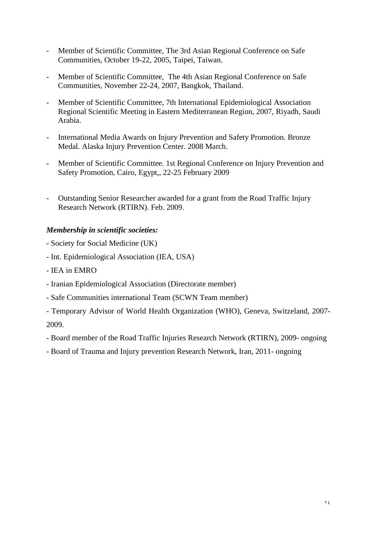- Member of Scientific Committee, The 3rd Asian Regional Conference on Safe Communities, October 19-22, 2005, Taipei, Taiwan.
- Member of Scientific Committee, The 4th Asian Regional Conference on Safe Communities, November 22-24, 2007, Bangkok, Thailand.
- Member of Scientific Committee, 7th International Epidemiological Association Regional Scientific Meeting in Eastern Mediterranean Region, 2007, Riyadh, Saudi Arabia.
- International Media Awards on Injury Prevention and Safety Promotion. Bronze Medal. Alaska Injury Prevention Center. 2008 March.
- Member of Scientific Committee. 1st Regional Conference on Injury Prevention and Safety Promotion, Cairo, Egypt,, 22-25 February 2009
- Outstanding Senior Researcher awarded for a grant from the Road Traffic Injury Research Network (RTIRN). Feb. 2009.

### *Membership in scientific societies:*

- Society for Social Medicine (UK)
- Int. Epidemiological Association (IEA, USA)
- IEA in EMRO
- Iranian Epidemiological Association (Directorate member)
- Safe Communities international Team (SCWN Team member)
- Temporary Advisor of World Health Organization (WHO), Geneva, Switzeland, 2007-

2009.

- Board member of the Road Traffic Injuries Research Network (RTIRN), 2009- ongoing
- Board of Trauma and Injury prevention Research Network, Iran, 2011- ongoing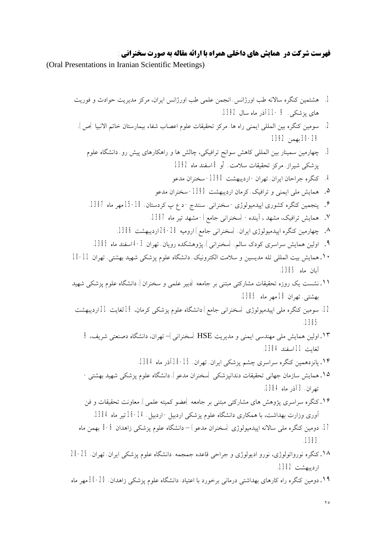## **فهرست شرکت در همایش هاي داخلی همراه با ارائه مقاله به صورت سخنرانی:**

(Oral Presentations in Iranian Scientific Meetings)

.1 هشتمین کنگره سالانه طب اورژانس. انجمن علمی طب اورژانس ایران، مرکز مدیریت حوادث و فوریت هاي پزشکی. 9 11- آذر ماه سال .1392 .2 سومین کنگره بین المللی ایمنی راه ها. مرکز تحقیقات علوم اعصاب شفاء بیمارستان خاتم الانبیا (ص). 30-29 بهمن 1392 .3 چهارمین سمینار بین المللی کاهش سوانح ترافیکی، چالش ها و راهکارهاي پیش رو. دانشگاه علوم پزشکی شیراز. مرکز تحقیقات سلامت. 7و 8 اسفند ماه 1392 .4 کنگره جراحان ایران. تهران- اردیبهشت -1390 سخنران مدعو .۵ همایش ملی ایمنی و ترافیک. کرمان اردیبهشت -1390 سخنران مدعو .۶ پنجمین کنگره کشوري اپیدمیولوژي- سخنرانی. سنندج- د ع پ کردستان. 15-18 مهر ماه .1387 .٧ همایش ترافیک، مشهد ، آینده- (سخنرانی جامع)- مشهد تیر ماه .1387 .٨ چهارمین کنگره اپیدمیولوژي ایران. (سخنرانی جامع) ارومیه -28 26 اردیبهشت .1386 .٩ اولین همایش سراسري کودك سالم. (سخنرانی). پژوهشکده رویان. تهران -3 4 اسفند ماه .1385 .١٠ همایش بیت المللی تله مدیسین و سلامت الکترونیک. دانشگاه علوم پزشکی شهید بهشتی. تهران 10-11 آبان ماه .1385 .١١ نشست یک روزه تحقیقات مشارکتی مبتنی بر جامعه (دبیر علمی و سخنران). دانشگاه علوم پزشکی شهید بهشتی. تهران 18 مهر ماه .1385 .12 سومین کنگره ملی اپیدمیولوژي (سخنرانی جامع) دانشگاه علوم پزشکی کرمان، 19 لغایت 21 اردیبهشت .1385 .١٣ اولین همایش ملی مهندسی ایمنی و مدیریت HSE) سخنرانی)– تهران، دانشگاه دصنعتی شریف، 9 لغایت 11 اسفند .1384 .١۴ پانزدهمین کنگره سراسري چشم پزشکی ایران. تهران. 18-15 آذر ماه .1384 .١۵ همایش سازمان جهانی تحقیقات دندانپزشکی (سخنران مدعو). دانشگاه علوم پزشکی شهید بهشتی- تهران. 3 آذر ماه .1384 .١۶ کنگره سراسري پژوهش هاي مشارکتی مبتنی بر جامعه (عضو کمیته علمی). معاونت تحقیقات و فن آوري وزارت بهداشت، با همکاري دانشگاه علوم پزشکی اردبیل- اردبیل. 16-14 تیر ماه .1384 .17 دومین کنگره ملی سالانه اپیدمیولوژي (سخنران مدعو) – دانشگاه علوم پزشکی زاهدان 8-6 بهمن ماه .1383 .١٨ کنگره نورواتولوژي، نورو ادیولوژي و جراحی قاعده جمجمه. دانشگاه علوم پزشکی ایران. تهران. 28-25 اردیبهشت .1382 .١٩ دومین کنگره راه کارهاي بهداشتی درمانی برخورد با اعتیاد. دانشگاه علوم پزشکی زاهدان. 30-20 مهر ماه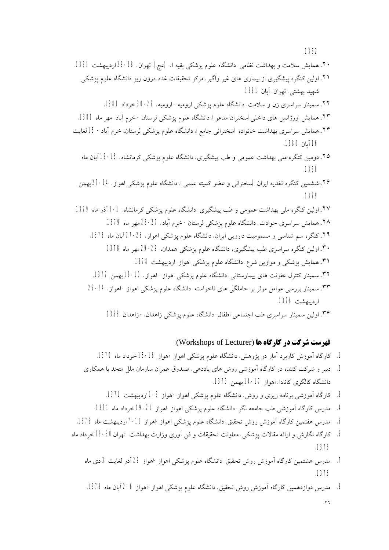.٢٠ همایش سلامت و بهداشت نظامی. دانشگاه علوم پزشکی بقیه ا.. (عج). تهران. 29-28 اردیبهشت .1381 .٢١ اولین کنگره پیشگیري از بیماري هاي غیر واگیر. مرکز تحقیقات غدد درون ریز دانشگاه علوم پزشکی شهید بهشتی. تهران. آبان .1381 .٢٢ سمینار سراسري زن و سلامت. دانشگاه علوم پزشکی ارومیه- ارومیه. 30-29 خرداد .1381 .٢٣ همایش اورژانس هاي داخلی(سخنران مدعو). دانشگاه علوم پزشکی لرستان- خرم آباد. مهر ماه .1381 .٢۴ همایش سراسري بهداشت خانواده (سخنرانی جامع)، دانشگاه علوم پزشکی لرستان، خرم آباد- 15 لغایت 16 آبان .1380 .٢۵ دومین کنگره ملی بهداشت عمومی و طب پیشگیري. دانشگاه علوم پزشکی کرمانشاه. 18-15 آبان ماه .1380 .٢۶ ششمین کنگره تغذیه ایران (سخنرانی و عضو کمیته علمی). دانشگاه علوم پزشکی اهواز. -24 27 بهمن .1379 .٢٧ اولین کنگره ملی بهداشت عمومی و طب پیشگیري. دانشگاه علوم پزشکی کرمانشاه. -1 3 آذر ماه .1379 .٢٨ همایش سراسري حوادث. دانشگاه علوم پزشکی لرستان- خرم آباد. 28-27 مهر ماه .1379 ۲۹. کنگره سم شناسی و مسمومیت دارویی ایران. دانشگاه علوم پزشکی اهواز. 25-27 آبان ماه 1378. .٣٠ اولین کنگره سراسري طب پیشگیري، دانشگاه علوم پزشکی همدان، 29-29 مهر ماه .1378 .٣١ همایش پزشکی و موازین شرع. دانشگاه علوم پزشکی اهواز. اردیبهشت .1378 .٣٢ سمینار کنترل عفونت هاي بیمارستانی. دانشگاه علوم پزشکی اهواز- اهواز. 12-10 بهمن .1377 .٣٣ سمینار بررسی عوامل موثر بر حاملگی هاي ناخواسته. دانشگاه علوم پزشکی اهواز- اهواز. 25-24 اردیبهشت .1376

.٣۴ اولین سمینار سراسري طب اجتماعی اطفال. دانشگاه علوم پزشکی زاهدان-. زاهدان .1368

#### **فهرست شرکت در کارگاه ها** (Lecturer of Workshops(:

- .1 کارگاه آموزش کاربرد آمار در پژوهش. دانشگاه علوم پزشکی اهواز-اهواز 15-16 خرداد ماه .1370
- .2 دبیر و شرکت کننده در کارگاه آموزشی روش هاي یاددهی. صندوق عمران سازمان ملل متحد با همکاري دانشگاه کالگري کانادا. اهواز 14-17 بهمن .1370
	- 3. کارگاه آموزشی برنامه ریزی و روش. دانشگاه علوم پزشکی اهواز-اهواز 3-1 اردیبهشت 1371.
	- .4 مدرس کارگاه آموزشی طب جامعه نگر. دانشگاه علوم پزشکی اهواز-اهواز 19-21 خرداد ماه .1371
- 5. مدرس هفتمین کارگاه آموزش روش تحقیق. دانشگاه علوم پزشکی اهواز -اهواز 11-7 اردیبهشت ماه 1376.
- .6 کارگاه نگارش و ارائه مقالات پزشکی. معاونت تحقیقات و فن آوري وزارت بهداشت. تهران29-30 خرداد ماه .1376
	- .7 مدرس هشتمین کارگاه آموزش روش تحقیق. دانشگاه علوم پزشکی اهواز-اهواز 29 آذر لغایت 3 دي ماه .1376
	- 8. مدرس دوازدهمین کارگاه آموزش روش تحقیق. دانشگاه علوم پزشکی اهواز -اهواز 6-2 آبان ماه 1378.

٢٦

.1382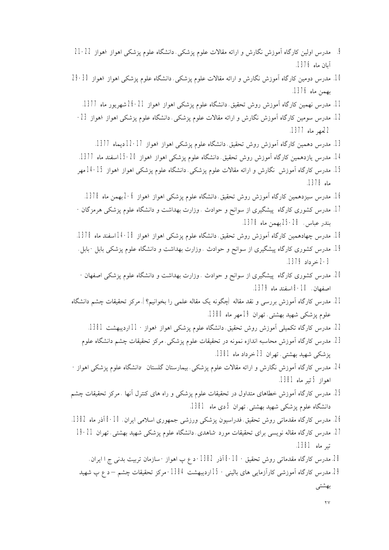- .9 مدرس اولین کارگاه آموزش نگارش و ارائه مقالات علوم پزشکی. دانشگاه علوم پزشکی اهواز- اهواز 21-22 آبان ماه .1376
- .10 مدرس دومین کارگاه آموزش نگارش و ارائه مقالات علوم پزشکی. دانشگاه علوم پزشکی اهواز- اهواز 29-30 بهمن ماه .1376
	- .11 مدرس نهمین کارگاه آموزش روش تحقیق. دانشگاه علوم پزشکی اهواز-اهواز -21 26 شهریور ماه .1377
	- .12 مدرس سومین کارگاه آموزش نگارش و ارائه مقالات علوم پزشکی. دانشگاه علوم پزشکی اهواز- اهواز -23 22مهر ماه .1377
		- .13 مدرس دهمین کارگاه آموزش روش تحقیق. دانشگاه علوم پزشکی اهواز-اهواز -17 12 دیماه .1377
	- .14 مدرس یازدهمین کارگاه آموزش روش تحقیق. دانشگاه علوم پزشکی اهواز-اهواز -20 15 اسفند ماه .1377
	- .15 مدرس کارگاه آموزش نگارش و ارائه مقالات علوم پزشکی. دانشگاه علوم پزشکی اهواز-اهواز 14-15 مهر ماه .1378
		- .16 مدرس سیزدهمین کارگاه آموزش روش تحقیق. دانشگاه علوم پزشکی اهواز-اهواز -6 2 بهمن ماه .1378
	- .17 مدرس کشوري کارگاه پیشگیري از سوانح و حوادث . وزارت بهداشت و دانشگاه علوم پزشکی هرمزگان- بندر عباس. 25-28 بهمن ماه .1378
	- .18 مدرس چهادهمین کارگاه آموزش روش تحقیق. دانشگاه علوم پزشکی اهواز-اهواز -18 14 اسفند ماه .1378
	- .19 مدرس کشوري کارگاه پیشگیري از سوانح و حوادث . وزارت بهداشت و دانشگاه علوم پزشکی بابل- بابل. 2-3 خرداد .1379
	- .20 مدرس کشوري کارگاه پیشگیري از سوانح و حوادث . وزارت بهداشت و دانشگاه علوم پزشکی اصفهان- اصفهان. -10 8 اسفند ماه .1379
- .21 مدرس کارگاه آموزش بررسی و نقد مقاله (چگونه یک مقاله علمی را بخوانیم؟). مرکز تحقیقات چشم دانشگاه علوم پزشکی شهید بهشتی. تهران 19 مهر ماه .1380
	- .22 مدرس کارگاه تکمیلی آموزش روش تحقیق. دانشگاه علوم پزشکی اهواز-اهواز- 11 اردیبهشت .1381
	- .23 مدرس کارگاه آموزش محاسبه اندازه نمونه در تحقیقات علوم پزشکی. مرکز تحقیقات چشم دانشگاه علوم پزشکی شهید بهشتی. تهران 23 خرداد ماه .1381
- .24 مدرس کارگاه آموزش نگارش و ارائه مقالات علوم پزشکی. بیمارستان گلستان -دانشگاه علوم پزشکی اهواز- اهواز 5 تیر ماه .1381
- .25 مدرس کارگاه آموزش خطاهاي متداول در تحقیقات علوم پزشکی و راه هاي کنترل آنها . مرکز تحقیقات چشم دانشگاه علوم پزشکی شهید بهشتی. تهران 5 دي ماه .1381
- .26 مدرس کارگاه مقدماتی روش تحقیق. فدراسیون پزشکی ورزشی جمهوري اسلامی ایران. -10 8 آذر ماه .1382
	- .27 مدرس کارگاه مقاله نویسی براي تحقیقات مورد-شاهدي. دانشگاه علوم پزشکی شهید بهشتی. تهران 19-21 تیر ماه .1381
	- 28. مدرس کارگاه مقدماتی روش تحقیق 10-8 آذر 1382- د ع پ اهواز سازمان تربیت بدنی ج ا ایران. 29. مدرس کارگاه آموزشی کارآزمایی های بالینی- 15 اردیبهشت 1384- مرکز تحقیقات چشم – د ع پ شهید بهشتی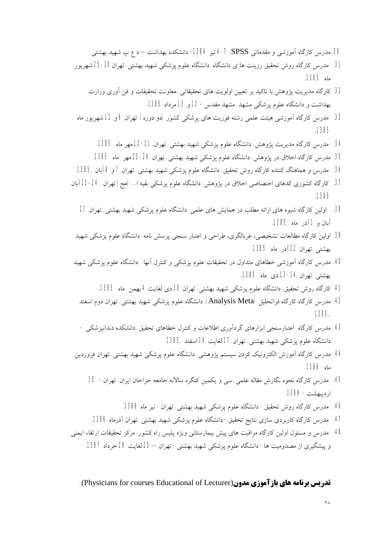30. مدرس کارگاه آموزشی و مقدماتی SPSS. 7-4 تیر 1384- دانشکده بهداشت – د ع پ شهید بهشتی. .31 مدرس کارگاه روش تحقیق رزینت ها ي دانشگاه. دانشگاه علوم پزشکی شهید بهشتی. تهران-30 25 شهریور ماه .1385

- .32 کارگاه مدیریت پژوهش با تاکید بر تعیین اولویت هاي تحقیقاتی. معاونت تحقیقات و فن آوري وزارت بهداشت و دانشگاه علوم پزشکی مشهد. مشهد مقدس- 12 و 13 مرداد .1385
- .33 مدرس کارگاه آموزشی هیئت علمی رشته فوریت هاي پزشکی کشور (دو دوره). تهران 6 و 11 شهریور ماه .1385
	- 34. مدرس کارگاه مدیریت پژوهش. دانشگاه علوم پزشکی شهید بهشتی. تهران 11-12 مهر ماه 1385.
	- 35. مدرس کارگاه اخلاق در پژوهش. دانشگاه علوم پزشکی شهید بهشتی. تهران 26-25 مهر ماه 1385.
- .36 مدرس و هماهنگ کننده کارگاه روش تحقیق. دانشگاه علوم پزشکی شهید بهشتی. تهران 7 و 8 آبان 1385,
- .37 کارگاه کشوري کدهاي اختصاصی اخلاق در پژوهش. دانشگاه علوم پزشکی بقیه ا... (عج) تهران 25-24 آبان .1385
	- .38 اولین کارگاه شیوه هاي ارائه مطلب در همایش هاي علمی. دانشگاه علوم پزشکی شهید بهشتی. تهران 27 آبان و 1 آذر ماه .1385
	- .39 اولین کارگاه مطالعات تشخیصی، غربالگري، طراحی و اعتبار سنجی پرسش نامه. دانشگاه علوم پزشکی شهید بهشتی. تهران 22 آذر ماه .1385
- .40 مدرس کارگاه آموزشی خطاهاي متداول در تحقیقات علوم پزشکی و کنترل آنها. دانشگاه علوم پزشکی شهید بهشتی. تهران -14 13 دي ماه .1385
	- .41 کارگاه روش تحقیق. دانشگاه علوم پزشکی شهید بهشتی. تهران 30 دي لغایت 4 بهمن ماه .1385
	- 42. مدرس کارگاه کارگاه فراتحلیل (Analysis Meta). دانشگاه علوم پزشکی شهید بهشتی. تهران دوم اسفند 1385,
	- .43 مدرس کارگاه اعتبارسنجی ابزارهاي گردآوري اطلاعات و کنترل خطاهاي تحقیق. دانشکده دندانپزشکی دانشگاه علوم پزشکی شهید بهشتی. تهران 17 لغایت 19 اسفند 1385,
- .44 مدرس کارگاه آموزش الکترونیک کردن سیستم پژوهشی. دانشگاه علوم پزشکی شهید بهشتی. تهران فروردین ماه .1386
	- .45 مدرس کارگاه نحوه نگارش مقاله علمی. سی و یکمین کنگره سالانه جامعه جراحان ایران. تهران- 15 اردیبهشت- .1386
		- .46 مدرس کارگاه روش تحقیق- دانشگاه علوم پزشکی شهید بهشتی. تهران- تیر ماه 1386
	- .47 مدرس کارگاه کاربردي سازي نتایج تحقیق- دانشگاه علوم پزشکی شهید بهشتی. تهران آذرماه .1386
- .48 مدرس و مسئول اولین کارگاه مراقبت هاي پیش بیمارستانی ویژه پلیس راه کشور. مرکز تحقیقات ارتقاء ایمنی و پیشگیري از مصدومیت ها- دانشگاه علوم پزشکی شهید بهشتی- تهران – 25 لغایت 29 خرداد .1387

 **:**(Physicians for courses Educational of Lecturer)**مدون بازآموزي هاي برنامه تدریس**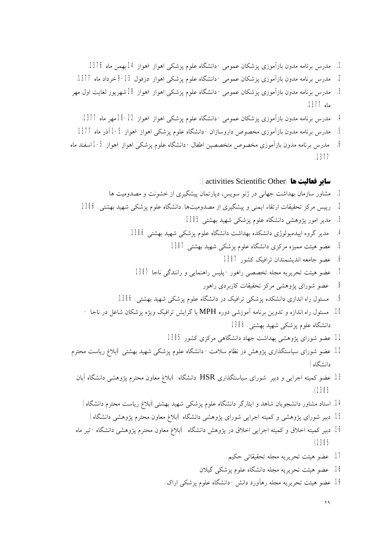- .1 مدرس برنامه مدون بازآموزي پزشکان عمومی- دانشگاه علوم پزشکی اهواز-اهواز 14 بهمن ماه .1376
- .2 مدرس برنامه مدون بازآموزي پزشکان عمومی- دانشگاه علوم پزشکی اهواز-دزفول 9-13 خرداد ماه .1377
- .3 مدرس برنامه مدون بازآموزي پزشکان عمومی- دانشگاه علوم پزشکی اهواز-اهواز 28 شهریور لغایت اول مهر ماه .1377
	- .4 مدرس برنامه مدون بازآموزي پزشکان عمومی- دانشگاه علوم پزشکی اهواز-اهواز -22 18 مهر ماه .1377
	- .5 مدرس برنامه مدون بازآموزي مخصوص داروسازان- دانشگاه علوم پزشکی اهواز-اهواز 1-5 آذر ماه 1377
- .6 .مدرس برنامه مدون بازآموزي مخصوص متخصصین اطفال- دانشگاه علوم پزشکی اهواز-اهواز 1-5 اسفند ماه .1377

**سایر فعالیت ها(**Other Scientific activities**(:** 

- .1 مشاور سازمان بهداشت جهانی در ژنو سویس، دپارتمان پیشگیري از خشونت و مصدومیت ها .2 رییس مرکز تحقیقات ارتقاء ایمنی و پیشگیري از مصدومیتها. دانشگاه علوم پزشکی شهید بهشتی. 1386 .3 مدیر امور پژوهشی دانشگاه علوم پزشکی شهید بهشتی 1385 .4 مدیر گروه اپیدمیولوژي دانشکده بهداشت دانشگاه علوم پزشکی شهید بهشتی 1386 .5 عضو هیئت ممیزه مرکزي دانشگاه علوم پزشکی شهید بهشتی 1387 .6 عضو جامعه اندیشمندان ترافیک کشور 1387 .7 عضو هیئت تحریریه مجله تخصصی راهور- پلیس راهنمایی و رانندگی ناجا 1387 .8 عضو شوراي پژوهشی مرکز تحقیقات کاربردي راهور .9 مسئول راه اندازي دانشکده پزشکی ترافیک در دانشگاه علوم پزشکی شهید بهشتی. 1386 .10 مسئول راه اندازه و تدوین برنامه آموزشی دوره MPH با گرایش ترافیک ویژه پزشکان شاغل در ناجا -
	- دانشگاه علوم پزشکی شهید بهشتی. 1386
		- .11 عضو شوراي پژوهشی بهداشت جهاد دانشگاهی مرکزي کشور 1385
- .12 عضو شوراي سیاستگذاري پژوهش در نظام سلامت- دانشگاه علوم پزشکی شهید بهشتی (ابلاغ ریاست محترم دانشگاه)
	- .13 عضو کمیته اجرایی و دبیر شوراي سیاستگذاري HSR دانشگاه. (ابلاغ معاون محترم پژوهشی دانشگاه آبان .(1385
		- .14 استاد مشاور دانشجویان شاهد و ایثارگر دانشگاه علوم پزشکی شهید بهشتی(ابلاغ ریاست محترم دانشگاه)
		- .15 دبیر شوراي پژوهشی و کمیته اجرایی شوراي پژوهشی دانشگاه (ابلاغ معاون محترم پژوهشی دانشگاه)
	- .16 دبیر کمیته اخلاق و کمیته اجرایی اخلاق در پژوهش دانشگاه (ابلاغ معاون محترم پژوهشی دانشگاه- تیر ماه (1385
		- .17 عضو هیئت تحریریه مجله تحقیقاتی حکیم.
		- .18 عضو هیئت تحریریه مجله دانشگاه علوم پزشکی گیلان
		- .19 عضو هیئت تحریریه مجله رهآورد دانش- دانشگاه علوم پزشکی اراك.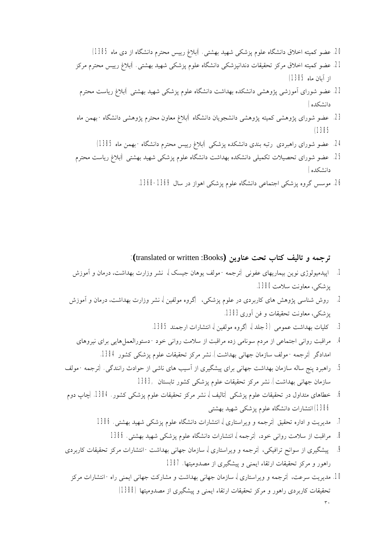- .20 عضو کمیته اخلاق دانشگاه علوم پزشکی شهید بهشتی. (ابلاغ رییس محترم دانشگاه از دي ماه 1385)
- .21 عضو کمیته اخلاق مرکز تحقیقات دندانپزشکی دانشگاه علوم پزشکی شهید بهشتی. (ابلاغ رییس محترم مرکز از آبان ماه 1385)
	- .22 عضو شوراي آموزشی پژوهشی دانشکده بهداشت دانشگاه علوم پزشکی شهید بهشتی (ابلاغ ریاست محترم دانشکده)
- .23 عضو شوراي پژوهشی کمیته پژوهشی دانشجویان دانشگاه (ابلاغ معاون محترم پژوهشی دانشگاه- بهمن ماه (1385
	- .24 عضو شوراي راهبردي رتبه بندي دانشکده پزشکی (ابلاغ رییس محترم دانشگاه- بهمن ماه 1385)
- .25 عضو شوراي تحصیلات تکمیلی دانشکده بهداشت دانشگاه علوم پزشکی شهید بهشتی (ابلاغ ریاست محترم دانشکده)
	- .26 موسس گروه پزشکی اجتماعی دانشگاه علوم پزشکی اهواز در سال .1368-1369

**ترجمه و تالیف کتاب تحت عناوین (**Books: written or translated**(:** 

- **.1** اپیدمیولوژي نوین بیماریهاي عفونی (ترجمه- مولف یوهان جیسک)، نشر وزارت بهداشت، درمان و آموزش پزشکی، معاونت سلامت.1380
- **.2** روش شناسی پژوهش هاي کاربردي در علوم پزشکی، (گروه مولفین)، نشر وزارت بهداشت، درمان و آموزش پزشکی، معاونت تحقیقات و فن آوري.1383
	- **.3** کلیات بهداشت عمومی (3 جلد)، (گروه مولفین)، انتشارات ارجمند .1385
	- **.4** مراقبت روانی اجتماعی از مردم سونامی زده مراقبت از سلامت روانی خود- دستورالعملهایی براي نیروهاي امدادگر (ترجمه- مولف سازمان جهانی بهداشت). نشر مرکز تحقیقات علوم پزشکی کشور .1384
- **.5** راهبرد پنج ساله سازمان بهداشت جهانی براي پیشگیري از آسیب هاي ناشی از حوادث رانندگی. (ترجمه- مولف سازمان جهانی بهداشت). نشر مرکز تحقیقات علوم پزشکی کشور تابستان 1383,
- **.6** خطاهاي متداول در تحقیقات علوم پزشکی (تالیف)، نشر مرکز تحقیقات علوم پزشکی کشور. .1384 (چاپ دوم 1386) انتشارات دانشگاه علوم پزشکی شهید بهشتی
	- **.7** مدیریت و اداره تحقیق (ترجمه و ویراستاري)، انتشارات دانشگاه علوم پزشکی شهید بهشتی. 1386
		- **.8** مراقبت از سلامت روانی خود، (ترجمه)، انتشارات دانشگاه علوم پزشکی شهید بهشتی. 1386
- **.9** پیشگیري از سوانح ترافیکی، (ترجمه و ویراستاري)، سازمان جهانی بهداشت- انتشارات مرکز تحقیقات کاربردي راهور و مرکز تحقیقات ارتقاء ایمنی و پیشگیري از مصدومیتها. 1387
	- ٣٠ **.10** مدیریت سرعت، (ترجمه و ویراستاري)، سازمان جهانی بهداشت و مشارکت جهانی ایمنی راه- انتشارات مرکز تحقیقات کاربردي راهور و مرکز تحقیقات ارتقاء ایمنی و پیشگیري از مصدومیتها (1388)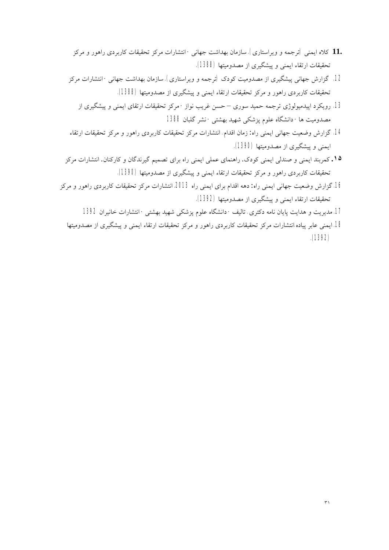- **11.** کلاه ایمنی (ترجمه و ویراستاري). سازمان بهداشت جهانی- انتشارات مرکز تحقیقات کاربردي راهور و مرکز تحقیقات ارتقاء ایمنی و پیشگیري از مصدومیتها (1388).
- **.12** گزارش جهانی پیشگیري از مصدومیت کودك (ترجمه و ویراستاري). سازمان بهداشت جهانی- انتشارات مرکز تحقیقات کاربردي راهور و مرکز تحقیقات ارتقاء ایمنی و پیشگیري از مصدومیتها (1388).
	- **.13** رویکرد اپیدمیولوژي ترجمه حمید سوري حسن غریب نواز- مرکز تحقیقات ارتقاي ایمنی و پیشگیري از مصدومیت ها- دانشگاه علوم پزشکی شهید بهشتی- نشر گلبان 1388
- **.14** گزارش وضعیت جهانی ایمنی راه: زمان اقدام. انتشارات مرکز تحقیقات کاربردي راهور و مرکز تحقیقات ارتقاء ایمنی و پیشگیري از مصدومیتها (1390).
- **.١۵** کمربند ایمنی و صندلی ایمنی کودك. راهنماي عملی ایمنی راه براي تصمیم گیرندگان و کارکنان. انتشارات مرکز تحقیقات کاربردي راهور و مرکز تحقیقات ارتقاء ایمنی و پیشگیري از مصدومیتها (1390).
- .16 گزارش وضعیت جهانی ایمنی راه: دهه اقدام براي ایمنی راه .2013 انتشارات مرکز تحقیقات کاربردي راهور و مرکز تحقیقات ارتقاء ایمنی و پیشگیري از مصدومیتها (1392).
	- .17 مدیریت و هدایت پایان نامه دکتري. تالیف- دانشگاه علوم پزشکی شهید بهشتی- انتشارات خانیران 1392
	- .18 ایمنی عابر پیاده.انتشارات مرکز تحقیقات کاربردي راهور و مرکز تحقیقات ارتقاء ایمنی و پیشگیري از مصدومیتها .(1392)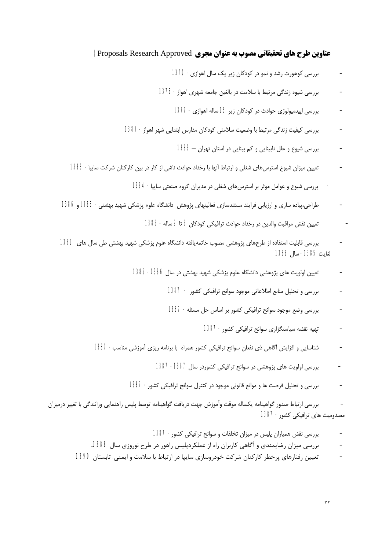#### **عناوین طرح هاي تحقیقاتی مصوب به عنوان مجري(**Approved Research Proposals**(:**

- بررسی کوهورت رشد و نمو در کودکان زیر یک سال اهوازي- 1370
- بررسی شیوه زندگی مرتبط با سلامت در بالغین جامعه شهري اهواز- 1376
	- بررسی اپیدمیولوژي حوادث در کودکان زیر 15 ساله اهوازي- 1377
- بررسی کیفیت زندگی مرتبط با وضعیت سلامتی کودکان مدارس ابتدایی شهر اهواز- 1380
	- بررسی شیوع و علل نابینایی و کم بینایی در استان تهران 1383
- تعیین میزان شیوع استرسهاي شغلی و ارتباط آنها با رخداد حوادث ناشی از کار در بین کارکنان شرکت سایپا- 1383
	- بررسی شیوع و عوامل موثر بر استرسهاي شغلی در مدیران گروه صنعتی سایپا- 1384
- طراحی،پیاده سازي و ارزیابی فرایند مستندسازي فعالیتهاي پژوهش دانشگاه علوم پزشکی شهید بهشتی- 1385 و 1386
	- تعیین نقش مراقبت والدین در رخداد حوادث ترافیکی کودکان 6 تا 9 ساله- 1386
- بررسی قابلیت استفاده از طرحهاي پژوهشی مصوب خاتمهیافته دانشگاه علوم پزشکی شهید بهشتی طی سال هاي 1381 لغایت -1385 سال 1385
	- تعیین اولویت های پژوهشی دانشگاه علوم پزشکی شهید بهشتی در سال 1386- 1386
		- بررسی و تحلیل منابع اطلاعاتی موجود سوانح ترافیکی کشور 1387
		- بررسی وضع موجود سوانح ترافیکی کشور بر اساس حل مسئله- 1387
			- تهیه نقشه سیاستگزاري سوانح ترافیکی کشور- 1387
	- شناسایی و افزایش آگاهی ذي نفعان سوانح ترافیکی کشور همراه با برنامه ریزي آموزشی مناسب- 1387
		- بررسی اولویت هاي پژوهشی در سوانح ترافیکی کشوردر سال -1387 1387
		- بررسی و تحلیل فرصت ها و موانع قانونی موجود در کنترل سوانح ترافیکی کشور- 1387

- بررسی ارتباط صدور گواهینامه یکساله موقت وآموزش جهت دریافت گواهینامه توسط پلیس راهنمایی ورانندگی با تغییر درمیزان مصدومیت هاي ترافیکی کشور- 1387

- بررسی نقش همیاران پلیس در میزان تخلفات و سوانح ترافیکی کشور- 1387
- بررسی میزان رضایمندي و آگاهی کاربران راه از عملکردپلیس راهور در طرح نوروزي سال .1388
- تعیین رفتارهاي پرخطر کارکنان شرکت خودروسازي سایپا در ارتباط با سلامت و ایمنی. تابستان 1390.